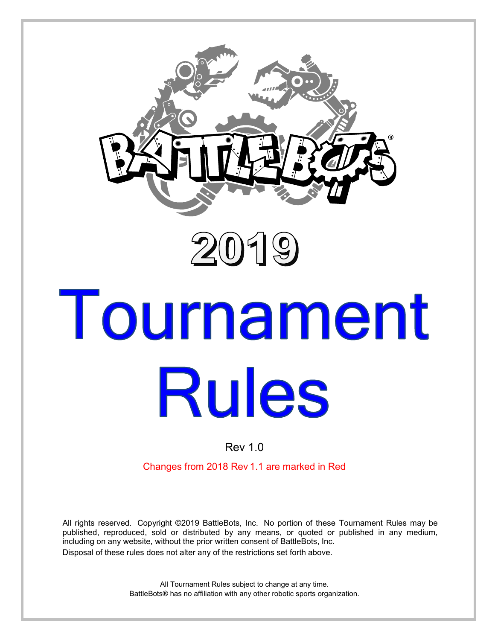



# Tournament **Rules**

## Rev 1.0

Changes from 2018 Rev 1.1 are marked in Red

All rights reserved. Copyright ©2019 BattleBots, Inc. No portion of these Tournament Rules may be published, reproduced, sold or distributed by any means, or quoted or published in any medium, including on any website, without the prior written consent of BattleBots, Inc. Disposal of these rules does not alter any of the restrictions set forth above.

> All Tournament Rules subject to change at any time. BattleBots® has no affiliation with any other robotic sports organization.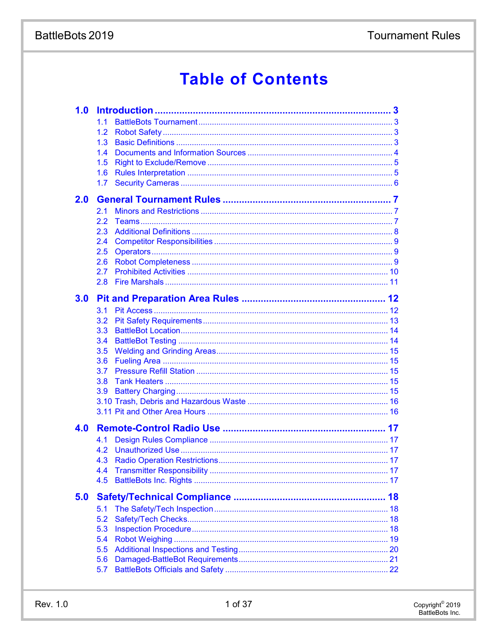# **Tournament Rules**

# BattleBots 2019

# **Table of Contents**

| 1.0 |     |  |
|-----|-----|--|
|     | 1.1 |  |
|     | 1.2 |  |
|     | 1.3 |  |
|     | 1.4 |  |
|     | 1.5 |  |
|     | 1.6 |  |
|     | 1.7 |  |
| 2.0 |     |  |
|     | 2.1 |  |
|     | 2.2 |  |
|     | 2.3 |  |
|     | 2.4 |  |
|     | 2.5 |  |
|     | 2.6 |  |
|     | 2.7 |  |
|     | 2.8 |  |
| 3.0 |     |  |
|     | 3.1 |  |
|     | 3.2 |  |
|     | 3.3 |  |
|     | 3.4 |  |
|     | 3.5 |  |
|     | 3.6 |  |
|     | 3.7 |  |
|     | 3.8 |  |
|     | 3.9 |  |
|     |     |  |
|     |     |  |
| 4.0 |     |  |
|     | 4.1 |  |
|     | 4.2 |  |
|     | 4.3 |  |
|     | 4.4 |  |
|     | 4.5 |  |
| 5.0 |     |  |
|     | 5.1 |  |
|     | 5.2 |  |
|     | 5.3 |  |
|     | 5.4 |  |
|     | 5.5 |  |
|     | 5.6 |  |
|     | 5.7 |  |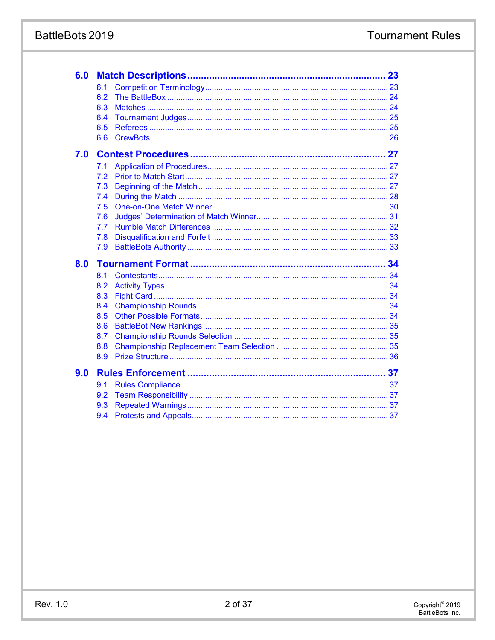## BattleBots 2019

| 6.0 |     |  |
|-----|-----|--|
|     | 6.1 |  |
|     | 6.2 |  |
|     | 6.3 |  |
|     | 6.4 |  |
|     | 6.5 |  |
|     | 6.6 |  |
| 7.0 |     |  |
|     | 7.1 |  |
|     | 7.2 |  |
|     | 7.3 |  |
|     | 7.4 |  |
|     | 7.5 |  |
|     | 7.6 |  |
|     | 7.7 |  |
|     | 7.8 |  |
|     | 7.9 |  |
| 8.0 |     |  |
|     | 8.1 |  |
|     | 8.2 |  |
|     | 8.3 |  |
|     | 8.4 |  |
|     | 8.5 |  |
|     | 8.6 |  |
|     | 8.7 |  |
|     | 8.8 |  |
|     | 8.9 |  |
| 9.0 |     |  |
|     | 9.1 |  |
|     | 9.2 |  |
|     | 9.3 |  |
|     | 9.4 |  |
|     |     |  |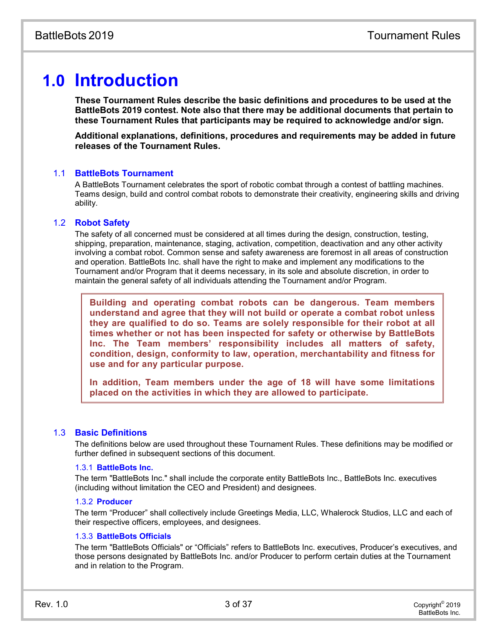# **1.0 Introduction**

**These Tournament Rules describe the basic definitions and procedures to be used at the BattleBots 2019 contest. Note also that there may be additional documents that pertain to these Tournament Rules that participants may be required to acknowledge and/or sign.**

**Additional explanations, definitions, procedures and requirements may be added in future releases of the Tournament Rules.**

#### 1.1 **BattleBots Tournament**

A BattleBots Tournament celebrates the sport of robotic combat through a contest of battling machines. Teams design, build and control combat robots to demonstrate their creativity, engineering skills and driving ability.

#### 1.2 **Robot Safety**

The safety of all concerned must be considered at all times during the design, construction, testing, shipping, preparation, maintenance, staging, activation, competition, deactivation and any other activity involving a combat robot. Common sense and safety awareness are foremost in all areas of construction and operation. BattleBots Inc. shall have the right to make and implement any modifications to the Tournament and/or Program that it deems necessary, in its sole and absolute discretion, in order to maintain the general safety of all individuals attending the Tournament and/or Program.

**Building and operating combat robots can be dangerous. Team members understand and agree that they will not build or operate a combat robot unless they are qualified to do so. Teams are solely responsible for their robot at all times whether or not has been inspected for safety or otherwise by BattleBots Inc. The Team members' responsibility includes all matters of safety, condition, design, conformity to law, operation, merchantability and fitness for use and for any particular purpose.**

**In addition, Team members under the age of 18 will have some limitations placed on the activities in which they are allowed to participate.**

#### 1.3 **Basic Definitions**

The definitions below are used throughout these Tournament Rules. These definitions may be modified or further defined in subsequent sections of this document.

#### 1.3.1 **BattleBots Inc.**

The term "BattleBots Inc." shall include the corporate entity BattleBots Inc., BattleBots Inc. executives (including without limitation the CEO and President) and designees.

#### 1.3.2 **Producer**

The term "Producer" shall collectively include Greetings Media, LLC, Whalerock Studios, LLC and each of their respective officers, employees, and designees.

#### 1.3.3 **BattleBots Officials**

The term "BattleBots Officials" or "Officials" refers to BattleBots Inc. executives, Producer's executives, and those persons designated by BattleBots Inc. and/or Producer to perform certain duties at the Tournament and in relation to the Program.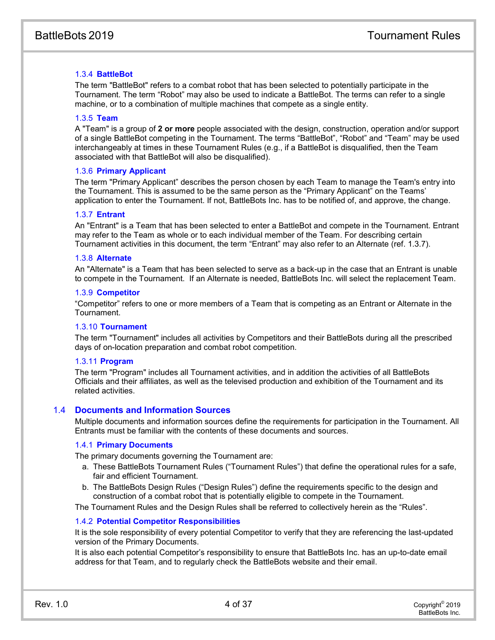#### 1.3.4 **BattleBot**

The term "BattleBot" refers to a combat robot that has been selected to potentially participate in the Tournament. The term "Robot" may also be used to indicate a BattleBot. The terms can refer to a single machine, or to a combination of multiple machines that compete as a single entity.

#### 1.3.5 **Team**

A "Team" is a group of **2 or more** people associated with the design, construction, operation and/or support of a single BattleBot competing in the Tournament. The terms "BattleBot", "Robot" and "Team" may be used interchangeably at times in these Tournament Rules (e.g., if a BattleBot is disqualified, then the Team associated with that BattleBot will also be disqualified).

#### 1.3.6 **Primary Applicant**

The term "Primary Applicant" describes the person chosen by each Team to manage the Team's entry into the Tournament. This is assumed to be the same person as the "Primary Applicant" on the Teams' application to enter the Tournament. If not, BattleBots Inc. has to be notified of, and approve, the change.

#### 1.3.7 **Entrant**

An "Entrant" is a Team that has been selected to enter a BattleBot and compete in the Tournament. Entrant may refer to the Team as whole or to each individual member of the Team. For describing certain Tournament activities in this document, the term "Entrant" may also refer to an Alternate (ref. 1.3.7).

#### 1.3.8 **Alternate**

An "Alternate" is a Team that has been selected to serve as a back-up in the case that an Entrant is unable to compete in the Tournament. If an Alternate is needed, BattleBots Inc. will select the replacement Team.

#### 1.3.9 **Competitor**

"Competitor" refers to one or more members of a Team that is competing as an Entrant or Alternate in the Tournament.

#### 1.3.10 **Tournament**

The term "Tournament" includes all activities by Competitors and their BattleBots during all the prescribed days of on-location preparation and combat robot competition.

#### 1.3.11 **Program**

The term "Program" includes all Tournament activities, and in addition the activities of all BattleBots Officials and their affiliates, as well as the televised production and exhibition of the Tournament and its related activities.

#### 1.4 **Documents and Information Sources**

Multiple documents and information sources define the requirements for participation in the Tournament. All Entrants must be familiar with the contents of these documents and sources.

#### 1.4.1 **Primary Documents**

The primary documents governing the Tournament are:

- a. These BattleBots Tournament Rules ("Tournament Rules") that define the operational rules for a safe, fair and efficient Tournament.
- b. The BattleBots Design Rules ("Design Rules") define the requirements specific to the design and construction of a combat robot that is potentially eligible to compete in the Tournament.

The Tournament Rules and the Design Rules shall be referred to collectively herein as the "Rules".

#### 1.4.2 **Potential Competitor Responsibilities**

It is the sole responsibility of every potential Competitor to verify that they are referencing the last-updated version of the Primary Documents.

It is also each potential Competitor's responsibility to ensure that BattleBots Inc. has an up-to-date email address for that Team, and to regularly check the BattleBots website and their email.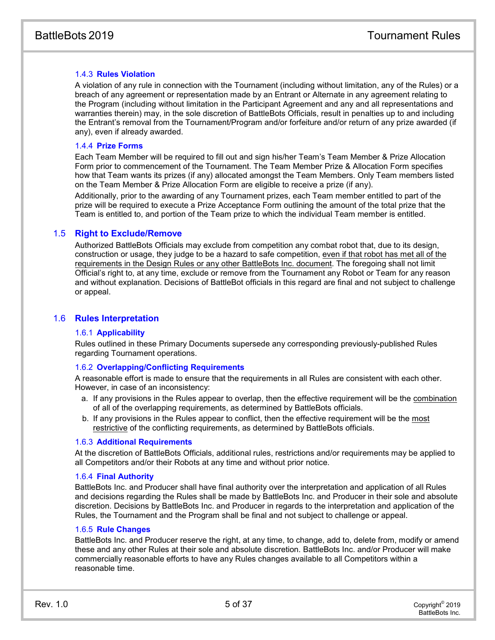#### 1.4.3 **Rules Violation**

A violation of any rule in connection with the Tournament (including without limitation, any of the Rules) or a breach of any agreement or representation made by an Entrant or Alternate in any agreement relating to the Program (including without limitation in the Participant Agreement and any and all representations and warranties therein) may, in the sole discretion of BattleBots Officials, result in penalties up to and including the Entrant's removal from the Tournament/Program and/or forfeiture and/or return of any prize awarded (if any), even if already awarded.

#### 1.4.4 **Prize Forms**

Each Team Member will be required to fill out and sign his/her Team's Team Member & Prize Allocation Form prior to commencement of the Tournament. The Team Member Prize & Allocation Form specifies how that Team wants its prizes (if any) allocated amongst the Team Members. Only Team members listed on the Team Member & Prize Allocation Form are eligible to receive a prize (if any).

Additionally, prior to the awarding of any Tournament prizes, each Team member entitled to part of the prize will be required to execute a Prize Acceptance Form outlining the amount of the total prize that the Team is entitled to, and portion of the Team prize to which the individual Team member is entitled.

#### 1.5 **Right to Exclude/Remove**

Authorized BattleBots Officials may exclude from competition any combat robot that, due to its design, construction or usage, they judge to be a hazard to safe competition, even if that robot has met all of the requirements in the Design Rules or any other BattleBots Inc. document. The foregoing shall not limit Official's right to, at any time, exclude or remove from the Tournament any Robot or Team for any reason and without explanation. Decisions of BattleBot officials in this regard are final and not subject to challenge or appeal.

#### 1.6 **Rules Interpretation**

#### 1.6.1 **Applicability**

Rules outlined in these Primary Documents supersede any corresponding previously-published Rules regarding Tournament operations.

#### 1.6.2 **Overlapping/Conflicting Requirements**

A reasonable effort is made to ensure that the requirements in all Rules are consistent with each other. However, in case of an inconsistency:

- a. If any provisions in the Rules appear to overlap, then the effective requirement will be the combination of all of the overlapping requirements, as determined by BattleBots officials.
- b. If any provisions in the Rules appear to conflict, then the effective requirement will be the most restrictive of the conflicting requirements, as determined by BattleBots officials.

#### 1.6.3 **Additional Requirements**

At the discretion of BattleBots Officials, additional rules, restrictions and/or requirements may be applied to all Competitors and/or their Robots at any time and without prior notice.

#### 1.6.4 **Final Authority**

BattleBots Inc. and Producer shall have final authority over the interpretation and application of all Rules and decisions regarding the Rules shall be made by BattleBots Inc. and Producer in their sole and absolute discretion. Decisions by BattleBots Inc. and Producer in regards to the interpretation and application of the Rules, the Tournament and the Program shall be final and not subject to challenge or appeal.

#### 1.6.5 **Rule Changes**

BattleBots Inc. and Producer reserve the right, at any time, to change, add to, delete from, modify or amend these and any other Rules at their sole and absolute discretion. BattleBots Inc. and/or Producer will make commercially reasonable efforts to have any Rules changes available to all Competitors within a reasonable time.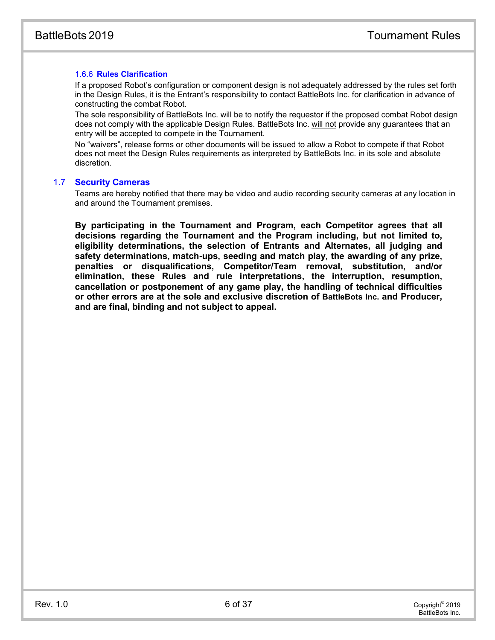#### 1.6.6 **Rules Clarification**

If a proposed Robot's configuration or component design is not adequately addressed by the rules set forth in the Design Rules, it is the Entrant's responsibility to contact BattleBots Inc. for clarification in advance of constructing the combat Robot.

The sole responsibility of BattleBots Inc. will be to notify the requestor if the proposed combat Robot design does not comply with the applicable Design Rules. BattleBots Inc. will not provide any guarantees that an entry will be accepted to compete in the Tournament.

No "waivers", release forms or other documents will be issued to allow a Robot to compete if that Robot does not meet the Design Rules requirements as interpreted by BattleBots Inc. in its sole and absolute discretion.

#### 1.7 **Security Cameras**

Teams are hereby notified that there may be video and audio recording security cameras at any location in and around the Tournament premises.

**By participating in the Tournament and Program, each Competitor agrees that all decisions regarding the Tournament and the Program including, but not limited to, eligibility determinations, the selection of Entrants and Alternates, all judging and safety determinations, match-ups, seeding and match play, the awarding of any prize, penalties or disqualifications, Competitor/Team removal, substitution, and/or elimination, these Rules and rule interpretations, the interruption, resumption, cancellation or postponement of any game play, the handling of technical difficulties or other errors are at the sole and exclusive discretion of BattleBots Inc. and Producer, and are final, binding and not subject to appeal.**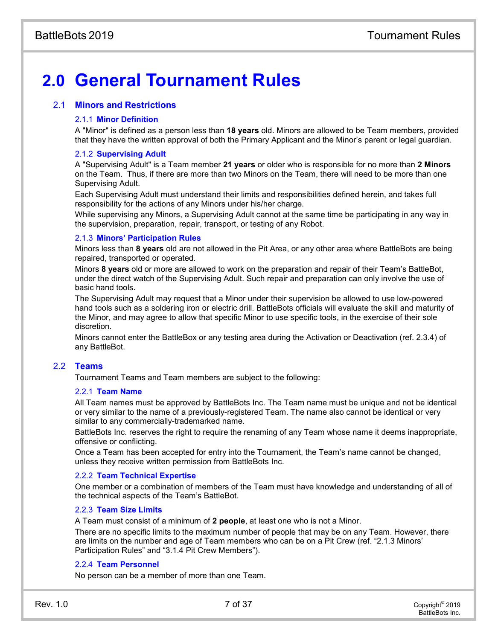# **2.0 General Tournament Rules**

#### 2.1 **Minors and Restrictions**

#### 2.1.1 **Minor Definition**

A "Minor" is defined as a person less than **18 years** old. Minors are allowed to be Team members, provided that they have the written approval of both the Primary Applicant and the Minor's parent or legal guardian.

#### 2.1.2 **Supervising Adult**

A "Supervising Adult" is a Team member **21 years** or older who is responsible for no more than **2 Minors** on the Team. Thus, if there are more than two Minors on the Team, there will need to be more than one Supervising Adult.

Each Supervising Adult must understand their limits and responsibilities defined herein, and takes full responsibility for the actions of any Minors under his/her charge.

While supervising any Minors, a Supervising Adult cannot at the same time be participating in any way in the supervision, preparation, repair, transport, or testing of any Robot.

#### 2.1.3 **Minors' Participation Rules**

Minors less than **8 years** old are not allowed in the Pit Area, or any other area where BattleBots are being repaired, transported or operated.

Minors **8 years** old or more are allowed to work on the preparation and repair of their Team's BattleBot, under the direct watch of the Supervising Adult. Such repair and preparation can only involve the use of basic hand tools.

The Supervising Adult may request that a Minor under their supervision be allowed to use low-powered hand tools such as a soldering iron or electric drill. BattleBots officials will evaluate the skill and maturity of the Minor, and may agree to allow that specific Minor to use specific tools, in the exercise of their sole discretion.

Minors cannot enter the BattleBox or any testing area during the Activation or Deactivation (ref. 2.3.4) of any BattleBot.

#### 2.2 **Teams**

Tournament Teams and Team members are subject to the following:

#### 2.2.1 **Team Name**

All Team names must be approved by BattleBots Inc. The Team name must be unique and not be identical or very similar to the name of a previously-registered Team. The name also cannot be identical or very similar to any commercially-trademarked name.

BattleBots Inc. reserves the right to require the renaming of any Team whose name it deems inappropriate, offensive or conflicting.

Once a Team has been accepted for entry into the Tournament, the Team's name cannot be changed, unless they receive written permission from BattleBots Inc.

#### 2.2.2 **Team Technical Expertise**

One member or a combination of members of the Team must have knowledge and understanding of all of the technical aspects of the Team's BattleBot.

#### 2.2.3 **Team Size Limits**

A Team must consist of a minimum of **2 people**, at least one who is not a Minor.

There are no specific limits to the maximum number of people that may be on any Team. However, there are limits on the number and age of Team members who can be on a Pit Crew (ref. "2.1.3 Minors' Participation Rules" and ["3.1.4](#page-12-0) [Pit Crew Members"](#page-12-0)).

#### 2.2.4 **Team Personnel**

No person can be a member of more than one Team.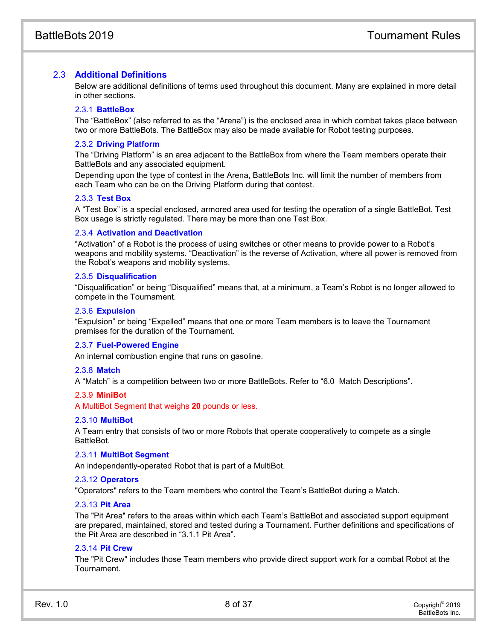#### 2.3 **Additional Definitions**

Below are additional definitions of terms used throughout this document. Many are explained in more detail in other sections.

#### 2.3.1 **BattleBox**

The "BattleBox" (also referred to as the "Arena") is the enclosed area in which combat takes place between two or more BattleBots. The BattleBox may also be made available for Robot testing purposes.

#### 2.3.2 **Driving Platform**

The "Driving Platform" is an area adjacent to the BattleBox from where the Team members operate their BattleBots and any associated equipment.

Depending upon the type of contest in the Arena, BattleBots Inc. will limit the number of members from each Team who can be on the Driving Platform during that contest.

#### 2.3.3 **Test Box**

A "Test Box" is a special enclosed, armored area used for testing the operation of a single BattleBot. Test Box usage is strictly regulated. There may be more than one Test Box.

#### 2.3.4 **Activation and Deactivation**

"Activation" of a Robot is the process of using switches or other means to provide power to a Robot's weapons and mobility systems. "Deactivation" is the reverse of Activation, where all power is removed from the Robot's weapons and mobility systems.

#### 2.3.5 **Disqualification**

"Disqualification" or being "Disqualified" means that, at a minimum, a Team's Robot is no longer allowed to compete in the Tournament.

#### 2.3.6 **Expulsion**

"Expulsion" or being "Expelled" means that one or more Team members is to leave the Tournament premises for the duration of the Tournament.

#### 2.3.7 **Fuel-Powered Engine**

An internal combustion engine that runs on gasoline.

#### 2.3.8 **Match**

A "Match" is a competition between two or more BattleBots. Refer to "6.0 Match Descriptions".

#### 2.3.9 **MiniBot**

A MultiBot Segment that weighs **20** pounds or less.

#### 2.3.10 **MultiBot**

A Team entry that consists of two or more Robots that operate cooperatively to compete as a single BattleBot.

#### 2.3.11 **MultiBot Segment**

An independently-operated Robot that is part of a MultiBot.

#### 2.3.12 **Operators**

"Operators" refers to the Team members who control the Team's BattleBot during a Match.

#### 2.3.13 **Pit Area**

The "Pit Area" refers to the areas within which each Team's BattleBot and associated support equipment are prepared, maintained, stored and tested during a Tournament. Further definitions and specifications of the Pit Area are described in "3.1.1 Pit Area".

#### 2.3.14 **Pit Crew**

The "Pit Crew" includes those Team members who provide direct support work for a combat Robot at the Tournament.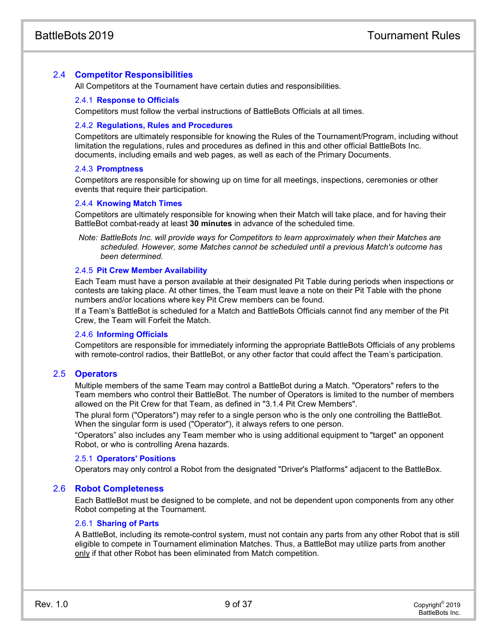#### 2.4 **Competitor Responsibilities**

All Competitors at the Tournament have certain duties and responsibilities.

#### 2.4.1 **Response to Officials**

Competitors must follow the verbal instructions of BattleBots Officials at all times.

#### 2.4.2 **Regulations, Rules and Procedures**

Competitors are ultimately responsible for knowing the Rules of the Tournament/Program, including without limitation the regulations, rules and procedures as defined in this and other official BattleBots Inc. documents, including emails and web pages, as well as each of the Primary Documents.

#### 2.4.3 **Promptness**

Competitors are responsible for showing up on time for all meetings, inspections, ceremonies or other events that require their participation.

#### 2.4.4 **Knowing Match Times**

Competitors are ultimately responsible for knowing when their Match will take place, and for having their BattleBot combat-ready at least **30 minutes** in advance of the scheduled time.

*Note: BattleBots Inc. will provide ways for Competitors to learn approximately when their Matches are scheduled. However, some Matches cannot be scheduled until a previous Match's outcome has been determined.*

#### 2.4.5 **Pit Crew Member Availability**

Each Team must have a person available at their designated Pit Table during periods when inspections or contests are taking place. At other times, the Team must leave a note on their Pit Table with the phone numbers and/or locations where key Pit Crew members can be found.

If a Team's BattleBot is scheduled for a Match and BattleBots Officials cannot find any member of the Pit Crew, the Team will Forfeit the Match.

#### 2.4.6 **Informing Officials**

Competitors are responsible for immediately informing the appropriate BattleBots Officials of any problems with remote-control radios, their BattleBot, or any other factor that could affect the Team's participation.

#### 2.5 **Operators**

Multiple members of the same Team may control a BattleBot during a Match. "Operators" refers to the Team members who control their BattleBot. The number of Operators is limited to the number of members allowed on the Pit Crew for that Team, as defined in ["3.1.4](#page-12-0) [Pit Crew Members"](#page-12-0).

The plural form ("Operators") may refer to a single person who is the only one controlling the BattleBot. When the singular form is used ("Operator"), it always refers to one person.

"Operators" also includes any Team member who is using additional equipment to "target" an opponent Robot, or who is controlling Arena hazards.

#### 2.5.1 **Operators' Positions**

Operators may only control a Robot from the designated "Driver's Platforms" adjacent to the BattleBox.

#### 2.6 **Robot Completeness**

Each BattleBot must be designed to be complete, and not be dependent upon components from any other Robot competing at the Tournament.

#### 2.6.1 **Sharing of Parts**

A BattleBot, including its remote-control system, must not contain any parts from any other Robot that is still eligible to compete in Tournament elimination Matches. Thus, a BattleBot may utilize parts from another only if that other Robot has been eliminated from Match competition.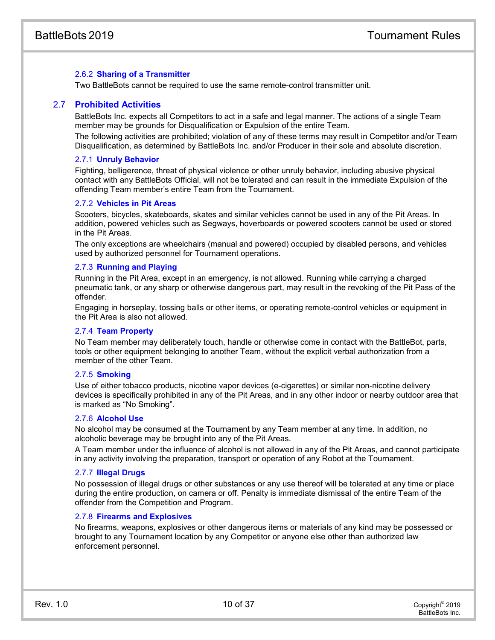#### 2.6.2 **Sharing of a Transmitter**

Two BattleBots cannot be required to use the same remote-control transmitter unit.

#### 2.7 **Prohibited Activities**

BattleBots Inc. expects all Competitors to act in a safe and legal manner. The actions of a single Team member may be grounds for Disqualification or Expulsion of the entire Team.

The following activities are prohibited; violation of any of these terms may result in Competitor and/or Team Disqualification, as determined by BattleBots Inc. and/or Producer in their sole and absolute discretion.

#### 2.7.1 **Unruly Behavior**

Fighting, belligerence, threat of physical violence or other unruly behavior, including abusive physical contact with any BattleBots Official, will not be tolerated and can result in the immediate Expulsion of the offending Team member's entire Team from the Tournament.

#### 2.7.2 **Vehicles in Pit Areas**

Scooters, bicycles, skateboards, skates and similar vehicles cannot be used in any of the Pit Areas. In addition, powered vehicles such as Segways, hoverboards or powered scooters cannot be used or stored in the Pit Areas.

The only exceptions are wheelchairs (manual and powered) occupied by disabled persons, and vehicles used by authorized personnel for Tournament operations.

#### 2.7.3 **Running and Playing**

Running in the Pit Area, except in an emergency, is not allowed. Running while carrying a charged pneumatic tank, or any sharp or otherwise dangerous part, may result in the revoking of the Pit Pass of the offender.

Engaging in horseplay, tossing balls or other items, or operating remote-control vehicles or equipment in the Pit Area is also not allowed.

#### 2.7.4 **Team Property**

No Team member may deliberately touch, handle or otherwise come in contact with the BattleBot, parts, tools or other equipment belonging to another Team, without the explicit verbal authorization from a member of the other Team.

#### 2.7.5 **Smoking**

Use of either tobacco products, nicotine vapor devices (e-cigarettes) or similar non-nicotine delivery devices is specifically prohibited in any of the Pit Areas, and in any other indoor or nearby outdoor area that is marked as "No Smoking".

#### 2.7.6 **Alcohol Use**

No alcohol may be consumed at the Tournament by any Team member at any time. In addition, no alcoholic beverage may be brought into any of the Pit Areas.

A Team member under the influence of alcohol is not allowed in any of the Pit Areas, and cannot participate in any activity involving the preparation, transport or operation of any Robot at the Tournament.

#### 2.7.7 **Illegal Drugs**

No possession of illegal drugs or other substances or any use thereof will be tolerated at any time or place during the entire production, on camera or off. Penalty is immediate dismissal of the entire Team of the offender from the Competition and Program.

#### 2.7.8 **Firearms and Explosives**

No firearms, weapons, explosives or other dangerous items or materials of any kind may be possessed or brought to any Tournament location by any Competitor or anyone else other than authorized law enforcement personnel.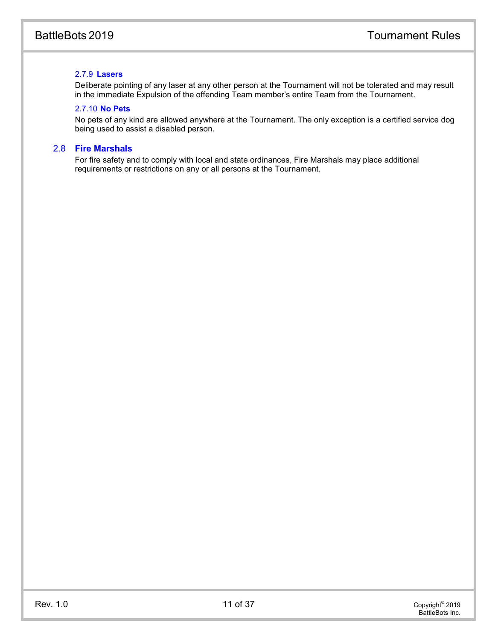#### 2.7.9 **Lasers**

Deliberate pointing of any laser at any other person at the Tournament will not be tolerated and may result in the immediate Expulsion of the offending Team member's entire Team from the Tournament.

#### 2.7.10 **No Pets**

No pets of any kind are allowed anywhere at the Tournament. The only exception is a certified service dog being used to assist a disabled person.

#### 2.8 **Fire Marshals**

For fire safety and to comply with local and state ordinances, Fire Marshals may place additional requirements or restrictions on any or all persons at the Tournament.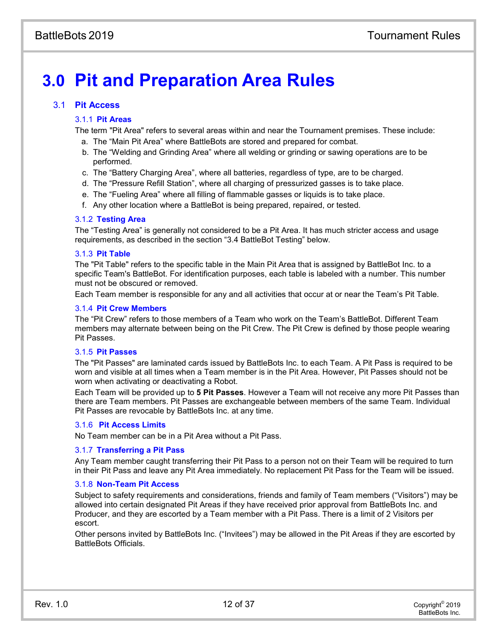# **3.0 Pit and Preparation Area Rules**

#### 3.1 **Pit Access**

#### 3.1.1 **Pit Areas**

The term "Pit Area" refers to several areas within and near the Tournament premises. These include:

- a. The "Main Pit Area" where BattleBots are stored and prepared for combat.
- b. The "Welding and Grinding Area" where all welding or grinding or sawing operations are to be performed.
- c. The "Battery Charging Area", where all batteries, regardless of type, are to be charged.
- d. The "Pressure Refill Station", where all charging of pressurized gasses is to take place.
- e. The "Fueling Area" where all filling of flammable gasses or liquids is to take place.
- f. Any other location where a BattleBot is being prepared, repaired, or tested.

#### 3.1.2 **Testing Area**

The "Testing Area" is generally not considered to be a Pit Area. It has much stricter access and usage requirements, as described in the section "3.4 BattleBot Testing" below.

#### 3.1.3 **Pit Table**

The "Pit Table" refers to the specific table in the Main Pit Area that is assigned by BattleBot Inc. to a specific Team's BattleBot. For identification purposes, each table is labeled with a number. This number must not be obscured or removed.

Each Team member is responsible for any and all activities that occur at or near the Team's Pit Table.

#### <span id="page-12-0"></span>3.1.4 **Pit Crew Members**

The "Pit Crew" refers to those members of a Team who work on the Team's BattleBot. Different Team members may alternate between being on the Pit Crew. The Pit Crew is defined by those people wearing Pit Passes.

#### 3.1.5 **Pit Passes**

The "Pit Passes" are laminated cards issued by BattleBots Inc. to each Team. A Pit Pass is required to be worn and visible at all times when a Team member is in the Pit Area. However, Pit Passes should not be worn when activating or deactivating a Robot.

Each Team will be provided up to **5 Pit Passes**. However a Team will not receive any more Pit Passes than there are Team members. Pit Passes are exchangeable between members of the same Team. Individual Pit Passes are revocable by BattleBots Inc. at any time.

#### 3.1.6 **Pit Access Limits**

No Team member can be in a Pit Area without a Pit Pass.

#### 3.1.7 **Transferring a Pit Pass**

Any Team member caught transferring their Pit Pass to a person not on their Team will be required to turn in their Pit Pass and leave any Pit Area immediately. No replacement Pit Pass for the Team will be issued.

#### 3.1.8 **Non-Team Pit Access**

Subject to safety requirements and considerations, friends and family of Team members ("Visitors") may be allowed into certain designated Pit Areas if they have received prior approval from BattleBots Inc. and Producer, and they are escorted by a Team member with a Pit Pass. There is a limit of 2 Visitors per escort.

Other persons invited by BattleBots Inc. ("Invitees") may be allowed in the Pit Areas if they are escorted by BattleBots Officials.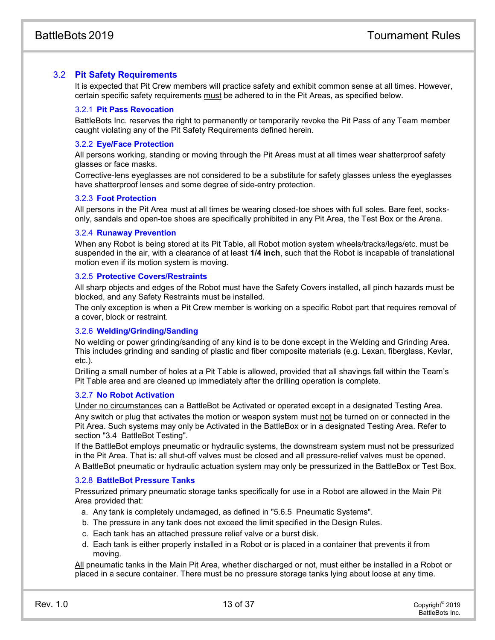#### 3.2 **Pit Safety Requirements**

It is expected that Pit Crew members will practice safety and exhibit common sense at all times. However, certain specific safety requirements must be adhered to in the Pit Areas, as specified below.

#### 3.2.1 **Pit Pass Revocation**

BattleBots Inc. reserves the right to permanently or temporarily revoke the Pit Pass of any Team member caught violating any of the Pit Safety Requirements defined herein.

#### 3.2.2 **Eye/Face Protection**

All persons working, standing or moving through the Pit Areas must at all times wear shatterproof safety glasses or face masks.

Corrective-lens eyeglasses are not considered to be a substitute for safety glasses unless the eyeglasses have shatterproof lenses and some degree of side-entry protection.

#### 3.2.3 **Foot Protection**

All persons in the Pit Area must at all times be wearing closed-toe shoes with full soles. Bare feet, socksonly, sandals and open-toe shoes are specifically prohibited in any Pit Area, the Test Box or the Arena.

#### 3.2.4 **Runaway Prevention**

When any Robot is being stored at its Pit Table, all Robot motion system wheels/tracks/legs/etc. must be suspended in the air, with a clearance of at least **1/4 inch**, such that the Robot is incapable of translational motion even if its motion system is moving.

#### 3.2.5 **Protective Covers/Restraints**

All sharp objects and edges of the Robot must have the Safety Covers installed, all pinch hazards must be blocked, and any Safety Restraints must be installed.

The only exception is when a Pit Crew member is working on a specific Robot part that requires removal of a cover, block or restraint.

#### 3.2.6 **Welding/Grinding/Sanding**

No welding or power grinding/sanding of any kind is to be done except in the Welding and Grinding Area. This includes grinding and sanding of plastic and fiber composite materials (e.g. Lexan, fiberglass, Kevlar, etc.).

Drilling a small number of holes at a Pit Table is allowed, provided that all shavings fall within the Team's Pit Table area and are cleaned up immediately after the drilling operation is complete.

#### 3.2.7 **No Robot Activation**

Under no circumstances can a BattleBot be Activated or operated except in a designated Testing Area. Any switch or plug that activates the motion or weapon system must not be turned on or connected in the Pit Area. Such systems may only be Activated in the BattleBox or in a designated Testing Area. Refer to section ["3.4 BattleBot Testing"](#page-14-0).

If the BattleBot employs pneumatic or hydraulic systems, the downstream system must not be pressurized in the Pit Area. That is: all shut-off valves must be closed and all pressure-relief valves must be opened. A BattleBot pneumatic or hydraulic actuation system may only be pressurized in the BattleBox or Test Box.

#### 3.2.8 **BattleBot Pressure Tanks**

Pressurized primary pneumatic storage tanks specifically for use in a Robot are allowed in the Main Pit Area provided that:

- a. Any tank is completely undamaged, as defined in "5.6.5 Pneumatic Systems".
- b. The pressure in any tank does not exceed the limit specified in the Design Rules.
- c. Each tank has an attached pressure relief valve or a burst disk.
- d. Each tank is either properly installed in a Robot or is placed in a container that prevents it from moving.

All pneumatic tanks in the Main Pit Area, whether discharged or not, must either be installed in a Robot or placed in a secure container. There must be no pressure storage tanks lying about loose at any time.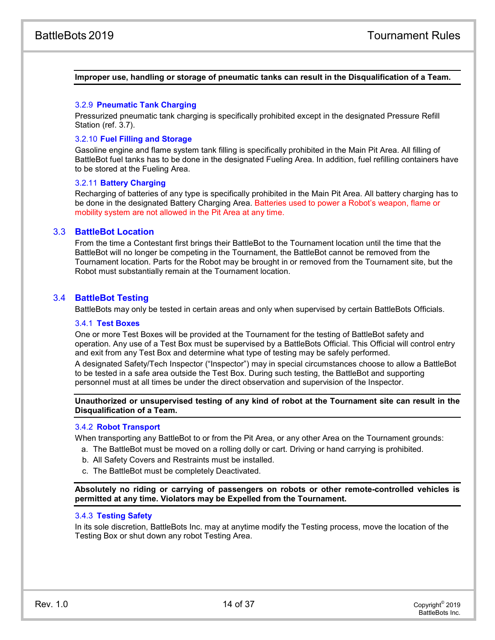#### **Improper use, handling or storage of pneumatic tanks can result in the Disqualification of a Team.**

#### 3.2.9 **Pneumatic Tank Charging**

Pressurized pneumatic tank charging is specifically prohibited except in the designated Pressure Refill Station (ref. [3.7\)](#page-15-0).

#### 3.2.10 **Fuel Filling and Storage**

Gasoline engine and flame system tank filling is specifically prohibited in the Main Pit Area. All filling of BattleBot fuel tanks has to be done in the designated Fueling Area. In addition, fuel refilling containers have to be stored at the Fueling Area.

#### 3.2.11 **Battery Charging**

Recharging of batteries of any type is specifically prohibited in the Main Pit Area. All battery charging has to be done in the designated Battery Charging Area. Batteries used to power a Robot's weapon, flame or mobility system are not allowed in the Pit Area at any time.

#### 3.3 **BattleBot Location**

From the time a Contestant first brings their BattleBot to the Tournament location until the time that the BattleBot will no longer be competing in the Tournament, the BattleBot cannot be removed from the Tournament location. Parts for the Robot may be brought in or removed from the Tournament site, but the Robot must substantially remain at the Tournament location.

#### <span id="page-14-0"></span>3.4 **BattleBot Testing**

BattleBots may only be tested in certain areas and only when supervised by certain BattleBots Officials.

#### 3.4.1 **Test Boxes**

One or more Test Boxes will be provided at the Tournament for the testing of BattleBot safety and operation. Any use of a Test Box must be supervised by a BattleBots Official. This Official will control entry and exit from any Test Box and determine what type of testing may be safely performed.

A designated Safety/Tech Inspector ("Inspector") may in special circumstances choose to allow a BattleBot to be tested in a safe area outside the Test Box. During such testing, the BattleBot and supporting personnel must at all times be under the direct observation and supervision of the Inspector.

**Unauthorized or unsupervised testing of any kind of robot at the Tournament site can result in the Disqualification of a Team.**

#### 3.4.2 **Robot Transport**

When transporting any BattleBot to or from the Pit Area, or any other Area on the Tournament grounds:

- a. The BattleBot must be moved on a rolling dolly or cart. Driving or hand carrying is prohibited.
- b. All Safety Covers and Restraints must be installed.
- c. The BattleBot must be completely Deactivated.

**Absolutely no riding or carrying of passengers on robots or other remote-controlled vehicles is permitted at any time. Violators may be Expelled from the Tournament.**

#### 3.4.3 **Testing Safety**

In its sole discretion, BattleBots Inc. may at anytime modify the Testing process, move the location of the Testing Box or shut down any robot Testing Area.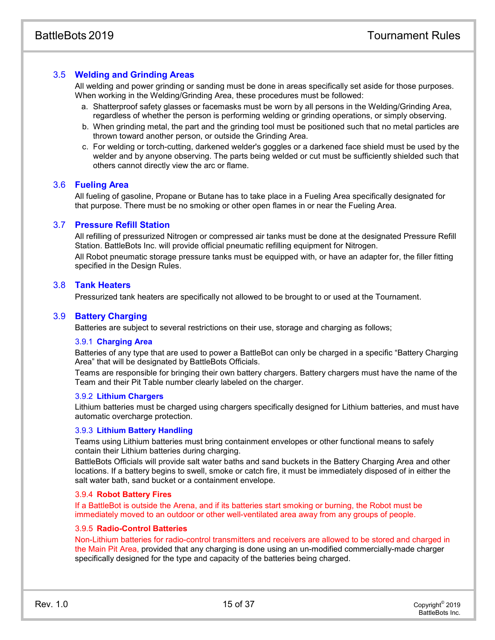#### 3.5 **Welding and Grinding Areas**

All welding and power grinding or sanding must be done in areas specifically set aside for those purposes. When working in the Welding/Grinding Area, these procedures must be followed:

- a. Shatterproof safety glasses or facemasks must be worn by all persons in the Welding/Grinding Area, regardless of whether the person is performing welding or grinding operations, or simply observing.
- b. When grinding metal, the part and the grinding tool must be positioned such that no metal particles are thrown toward another person, or outside the Grinding Area.
- c. For welding or torch-cutting, darkened welder's goggles or a darkened face shield must be used by the welder and by anyone observing. The parts being welded or cut must be sufficiently shielded such that others cannot directly view the arc or flame.

#### 3.6 **Fueling Area**

All fueling of gasoline, Propane or Butane has to take place in a Fueling Area specifically designated for that purpose. There must be no smoking or other open flames in or near the Fueling Area.

#### <span id="page-15-0"></span>3.7 **Pressure Refill Station**

All refilling of pressurized Nitrogen or compressed air tanks must be done at the designated Pressure Refill Station. BattleBots Inc. will provide official pneumatic refilling equipment for Nitrogen.

All Robot pneumatic storage pressure tanks must be equipped with, or have an adapter for, the filler fitting specified in the Design Rules.

#### 3.8 **Tank Heaters**

Pressurized tank heaters are specifically not allowed to be brought to or used at the Tournament.

#### 3.9 **Battery Charging**

Batteries are subject to several restrictions on their use, storage and charging as follows;

#### 3.9.1 **Charging Area**

Batteries of any type that are used to power a BattleBot can only be charged in a specific "Battery Charging Area" that will be designated by BattleBots Officials.

Teams are responsible for bringing their own battery chargers. Battery chargers must have the name of the Team and their Pit Table number clearly labeled on the charger.

#### 3.9.2 **Lithium Chargers**

Lithium batteries must be charged using chargers specifically designed for Lithium batteries, and must have automatic overcharge protection.

#### 3.9.3 **Lithium Battery Handling**

Teams using Lithium batteries must bring containment envelopes or other functional means to safely contain their Lithium batteries during charging.

BattleBots Officials will provide salt water baths and sand buckets in the Battery Charging Area and other locations. If a battery begins to swell, smoke or catch fire, it must be immediately disposed of in either the salt water bath, sand bucket or a containment envelope.

#### 3.9.4 **Robot Battery Fires**

If a BattleBot is outside the Arena, and if its batteries start smoking or burning, the Robot must be immediately moved to an outdoor or other well-ventilated area away from any groups of people.

#### 3.9.5 **Radio-Control Batteries**

Non-Lithium batteries for radio-control transmitters and receivers are allowed to be stored and charged in the Main Pit Area, provided that any charging is done using an un-modified commercially-made charger specifically designed for the type and capacity of the batteries being charged.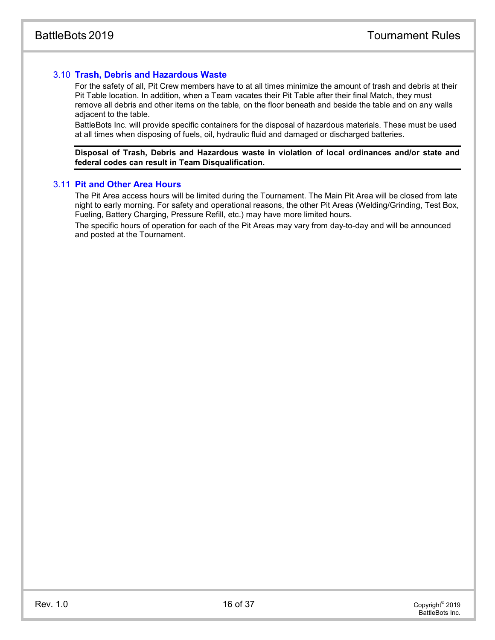#### 3.10 **Trash, Debris and Hazardous Waste**

For the safety of all, Pit Crew members have to at all times minimize the amount of trash and debris at their Pit Table location. In addition, when a Team vacates their Pit Table after their final Match, they must remove all debris and other items on the table, on the floor beneath and beside the table and on any walls adjacent to the table.

BattleBots Inc. will provide specific containers for the disposal of hazardous materials. These must be used at all times when disposing of fuels, oil, hydraulic fluid and damaged or discharged batteries.

**Disposal of Trash, Debris and Hazardous waste in violation of local ordinances and/or state and federal codes can result in Team Disqualification.**

#### 3.11 **Pit and Other Area Hours**

The Pit Area access hours will be limited during the Tournament. The Main Pit Area will be closed from late night to early morning. For safety and operational reasons, the other Pit Areas (Welding/Grinding, Test Box, Fueling, Battery Charging, Pressure Refill, etc.) may have more limited hours.

The specific hours of operation for each of the Pit Areas may vary from day-to-day and will be announced and posted at the Tournament.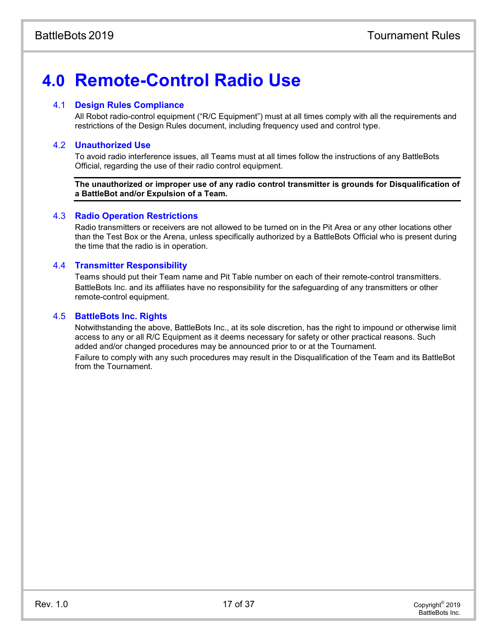# **4.0 Remote-Control Radio Use**

#### 4.1 **Design Rules Compliance**

All Robot radio-control equipment ("R/C Equipment") must at all times comply with all the requirements and restrictions of the Design Rules document, including frequency used and control type.

#### 4.2 **Unauthorized Use**

To avoid radio interference issues, all Teams must at all times follow the instructions of any BattleBots Official, regarding the use of their radio control equipment.

**The unauthorized or improper use of any radio control transmitter is grounds for Disqualification of a BattleBot and/or Expulsion of a Team.**

#### 4.3 **Radio Operation Restrictions**

Radio transmitters or receivers are not allowed to be turned on in the Pit Area or any other locations other than the Test Box or the Arena, unless specifically authorized by a BattleBots Official who is present during the time that the radio is in operation.

#### 4.4 **Transmitter Responsibility**

Teams should put their Team name and Pit Table number on each of their remote-control transmitters. BattleBots Inc. and its affiliates have no responsibility for the safeguarding of any transmitters or other remote-control equipment.

#### 4.5 **BattleBots Inc. Rights**

Notwithstanding the above, BattleBots Inc., at its sole discretion, has the right to impound or otherwise limit access to any or all R/C Equipment as it deems necessary for safety or other practical reasons. Such added and/or changed procedures may be announced prior to or at the Tournament. Failure to comply with any such procedures may result in the Disqualification of the Team and its BattleBot from the Tournament.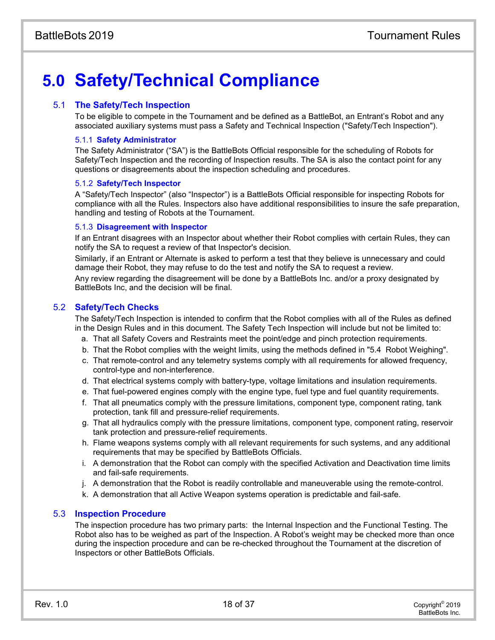# **5.0 Safety/Technical Compliance**

#### 5.1 **The Safety/Tech Inspection**

To be eligible to compete in the Tournament and be defined as a BattleBot, an Entrant's Robot and any associated auxiliary systems must pass a Safety and Technical Inspection ("Safety/Tech Inspection").

#### 5.1.1 **Safety Administrator**

The Safety Administrator ("SA") is the BattleBots Official responsible for the scheduling of Robots for Safety/Tech Inspection and the recording of Inspection results. The SA is also the contact point for any questions or disagreements about the inspection scheduling and procedures.

#### 5.1.2 **Safety/Tech Inspector**

A "Safety/Tech Inspector" (also "Inspector") is a BattleBots Official responsible for inspecting Robots for compliance with all the Rules. Inspectors also have additional responsibilities to insure the safe preparation, handling and testing of Robots at the Tournament.

#### 5.1.3 **Disagreement with Inspector**

If an Entrant disagrees with an Inspector about whether their Robot complies with certain Rules, they can notify the SA to request a review of that Inspector's decision.

Similarly, if an Entrant or Alternate is asked to perform a test that they believe is unnecessary and could damage their Robot, they may refuse to do the test and notify the SA to request a review.

Any review regarding the disagreement will be done by a BattleBots Inc. and/or a proxy designated by BattleBots Inc, and the decision will be final.

#### 5.2 **Safety/Tech Checks**

The Safety/Tech Inspection is intended to confirm that the Robot complies with all of the Rules as defined in the Design Rules and in this document. The Safety Tech Inspection will include but not be limited to:

- a. That all Safety Covers and Restraints meet the point/edge and pinch protection requirements.
- b. That the Robot complies with the weight limits, using the methods defined in "5.4 Robot Weighing".
- c. That remote-control and any telemetry systems comply with all requirements for allowed frequency, control-type and non-interference.
- d. That electrical systems comply with battery-type, voltage limitations and insulation requirements.
- e. That fuel-powered engines comply with the engine type, fuel type and fuel quantity requirements.
- f. That all pneumatics comply with the pressure limitations, component type, component rating, tank protection, tank fill and pressure-relief requirements.
- g. That all hydraulics comply with the pressure limitations, component type, component rating, reservoir tank protection and pressure-relief requirements.
- h. Flame weapons systems comply with all relevant requirements for such systems, and any additional requirements that may be specified by BattleBots Officials.
- i. A demonstration that the Robot can comply with the specified Activation and Deactivation time limits and fail-safe requirements.
- j. A demonstration that the Robot is readily controllable and maneuverable using the remote-control.
- k. A demonstration that all Active Weapon systems operation is predictable and fail-safe.

#### 5.3 **Inspection Procedure**

The inspection procedure has two primary parts: the Internal Inspection and the Functional Testing. The Robot also has to be weighed as part of the Inspection. A Robot's weight may be checked more than once during the inspection procedure and can be re-checked throughout the Tournament at the discretion of Inspectors or other BattleBots Officials.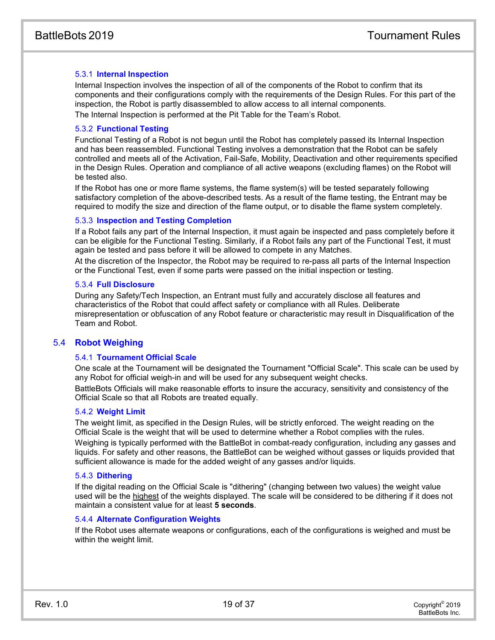#### 5.3.1 **Internal Inspection**

Internal Inspection involves the inspection of all of the components of the Robot to confirm that its components and their configurations comply with the requirements of the Design Rules. For this part of the inspection, the Robot is partly disassembled to allow access to all internal components. The Internal Inspection is performed at the Pit Table for the Team's Robot.

#### 5.3.2 **Functional Testing**

Functional Testing of a Robot is not begun until the Robot has completely passed its Internal Inspection and has been reassembled. Functional Testing involves a demonstration that the Robot can be safely controlled and meets all of the Activation, Fail-Safe, Mobility, Deactivation and other requirements specified in the Design Rules. Operation and compliance of all active weapons (excluding flames) on the Robot will be tested also.

If the Robot has one or more flame systems, the flame system(s) will be tested separately following satisfactory completion of the above-described tests. As a result of the flame testing, the Entrant may be required to modify the size and direction of the flame output, or to disable the flame system completely.

#### 5.3.3 **Inspection and Testing Completion**

If a Robot fails any part of the Internal Inspection, it must again be inspected and pass completely before it can be eligible for the Functional Testing. Similarly, if a Robot fails any part of the Functional Test, it must again be tested and pass before it will be allowed to compete in any Matches.

At the discretion of the Inspector, the Robot may be required to re-pass all parts of the Internal Inspection or the Functional Test, even if some parts were passed on the initial inspection or testing.

#### 5.3.4 **Full Disclosure**

During any Safety/Tech Inspection, an Entrant must fully and accurately disclose all features and characteristics of the Robot that could affect safety or compliance with all Rules. Deliberate misrepresentation or obfuscation of any Robot feature or characteristic may result in Disqualification of the Team and Robot.

#### 5.4 **Robot Weighing**

#### 5.4.1 **Tournament Official Scale**

One scale at the Tournament will be designated the Tournament "Official Scale". This scale can be used by any Robot for official weigh-in and will be used for any subsequent weight checks.

BattleBots Officials will make reasonable efforts to insure the accuracy, sensitivity and consistency of the Official Scale so that all Robots are treated equally.

#### 5.4.2 **Weight Limit**

The weight limit, as specified in the Design Rules, will be strictly enforced. The weight reading on the Official Scale is the weight that will be used to determine whether a Robot complies with the rules.

Weighing is typically performed with the BattleBot in combat-ready configuration, including any gasses and liquids. For safety and other reasons, the BattleBot can be weighed without gasses or liquids provided that sufficient allowance is made for the added weight of any gasses and/or liquids.

#### 5.4.3 **Dithering**

If the digital reading on the Official Scale is "dithering" (changing between two values) the weight value used will be the highest of the weights displayed. The scale will be considered to be dithering if it does not maintain a consistent value for at least **5 seconds**.

#### 5.4.4 **Alternate Configuration Weights**

If the Robot uses alternate weapons or configurations, each of the configurations is weighed and must be within the weight limit.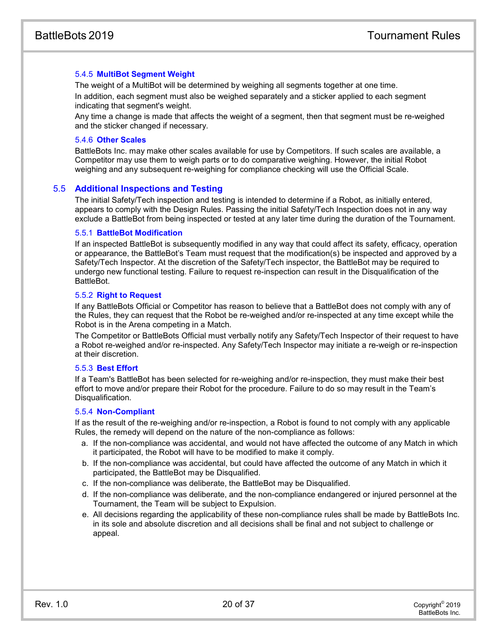#### 5.4.5 **MultiBot Segment Weight**

The weight of a MultiBot will be determined by weighing all segments together at one time. In addition, each segment must also be weighed separately and a sticker applied to each segment indicating that segment's weight.

Any time a change is made that affects the weight of a segment, then that segment must be re-weighed and the sticker changed if necessary.

#### 5.4.6 **Other Scales**

BattleBots Inc. may make other scales available for use by Competitors. If such scales are available, a Competitor may use them to weigh parts or to do comparative weighing. However, the initial Robot weighing and any subsequent re-weighing for compliance checking will use the Official Scale.

#### 5.5 **Additional Inspections and Testing**

The initial Safety/Tech inspection and testing is intended to determine if a Robot, as initially entered, appears to comply with the Design Rules. Passing the initial Safety/Tech Inspection does not in any way exclude a BattleBot from being inspected or tested at any later time during the duration of the Tournament.

#### 5.5.1 **BattleBot Modification**

If an inspected BattleBot is subsequently modified in any way that could affect its safety, efficacy, operation or appearance, the BattleBot's Team must request that the modification(s) be inspected and approved by a Safety/Tech Inspector. At the discretion of the Safety/Tech inspector, the BattleBot may be required to undergo new functional testing. Failure to request re-inspection can result in the Disqualification of the BattleBot.

#### 5.5.2 **Right to Request**

If any BattleBots Official or Competitor has reason to believe that a BattleBot does not comply with any of the Rules, they can request that the Robot be re-weighed and/or re-inspected at any time except while the Robot is in the Arena competing in a Match.

The Competitor or BattleBots Official must verbally notify any Safety/Tech Inspector of their request to have a Robot re-weighed and/or re-inspected. Any Safety/Tech Inspector may initiate a re-weigh or re-inspection at their discretion.

#### 5.5.3 **Best Effort**

If a Team's BattleBot has been selected for re-weighing and/or re-inspection, they must make their best effort to move and/or prepare their Robot for the procedure. Failure to do so may result in the Team's Disqualification.

#### 5.5.4 **Non-Compliant**

If as the result of the re-weighing and/or re-inspection, a Robot is found to not comply with any applicable Rules, the remedy will depend on the nature of the non-compliance as follows:

- a. If the non-compliance was accidental, and would not have affected the outcome of any Match in which it participated, the Robot will have to be modified to make it comply.
- b. If the non-compliance was accidental, but could have affected the outcome of any Match in which it participated, the BattleBot may be Disqualified.
- c. If the non-compliance was deliberate, the BattleBot may be Disqualified.
- d. If the non-compliance was deliberate, and the non-compliance endangered or injured personnel at the Tournament, the Team will be subject to Expulsion.
- e. All decisions regarding the applicability of these non-compliance rules shall be made by BattleBots Inc. in its sole and absolute discretion and all decisions shall be final and not subject to challenge or appeal.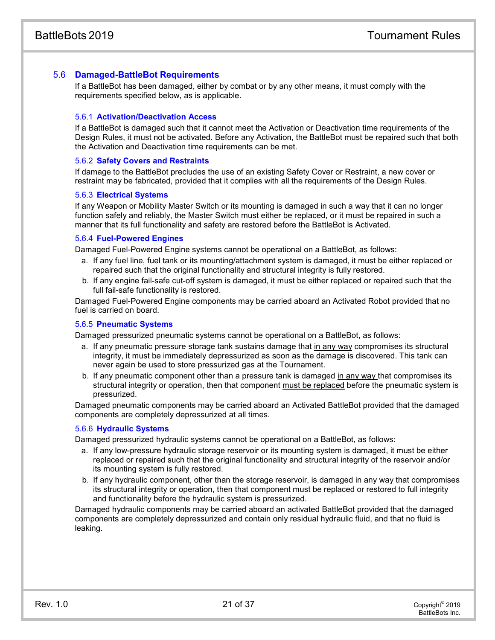#### 5.6 **Damaged-BattleBot Requirements**

If a BattleBot has been damaged, either by combat or by any other means, it must comply with the requirements specified below, as is applicable.

#### 5.6.1 **Activation/Deactivation Access**

If a BattleBot is damaged such that it cannot meet the Activation or Deactivation time requirements of the Design Rules, it must not be activated. Before any Activation, the BattleBot must be repaired such that both the Activation and Deactivation time requirements can be met.

#### 5.6.2 **Safety Covers and Restraints**

If damage to the BattleBot precludes the use of an existing Safety Cover or Restraint, a new cover or restraint may be fabricated, provided that it complies with all the requirements of the Design Rules.

#### 5.6.3 **Electrical Systems**

If any Weapon or Mobility Master Switch or its mounting is damaged in such a way that it can no longer function safely and reliably, the Master Switch must either be replaced, or it must be repaired in such a manner that its full functionality and safety are restored before the BattleBot is Activated.

#### 5.6.4 **Fuel-Powered Engines**

Damaged Fuel-Powered Engine systems cannot be operational on a BattleBot, as follows:

- a. If any fuel line, fuel tank or its mounting/attachment system is damaged, it must be either replaced or repaired such that the original functionality and structural integrity is fully restored.
- b. If any engine fail-safe cut-off system is damaged, it must be either replaced or repaired such that the full fail-safe functionality is restored.

Damaged Fuel-Powered Engine components may be carried aboard an Activated Robot provided that no fuel is carried on board.

#### 5.6.5 **Pneumatic Systems**

Damaged pressurized pneumatic systems cannot be operational on a BattleBot, as follows:

- a. If any pneumatic pressure storage tank sustains damage that in any way compromises its structural integrity, it must be immediately depressurized as soon as the damage is discovered. This tank can never again be used to store pressurized gas at the Tournament.
- b. If any pneumatic component other than a pressure tank is damaged in any way that compromises its structural integrity or operation, then that component must be replaced before the pneumatic system is pressurized.

Damaged pneumatic components may be carried aboard an Activated BattleBot provided that the damaged components are completely depressurized at all times.

#### 5.6.6 **Hydraulic Systems**

Damaged pressurized hydraulic systems cannot be operational on a BattleBot, as follows:

- a. If any low-pressure hydraulic storage reservoir or its mounting system is damaged, it must be either replaced or repaired such that the original functionality and structural integrity of the reservoir and/or its mounting system is fully restored.
- b. If any hydraulic component, other than the storage reservoir, is damaged in any way that compromises its structural integrity or operation, then that component must be replaced or restored to full integrity and functionality before the hydraulic system is pressurized.

Damaged hydraulic components may be carried aboard an activated BattleBot provided that the damaged components are completely depressurized and contain only residual hydraulic fluid, and that no fluid is leaking.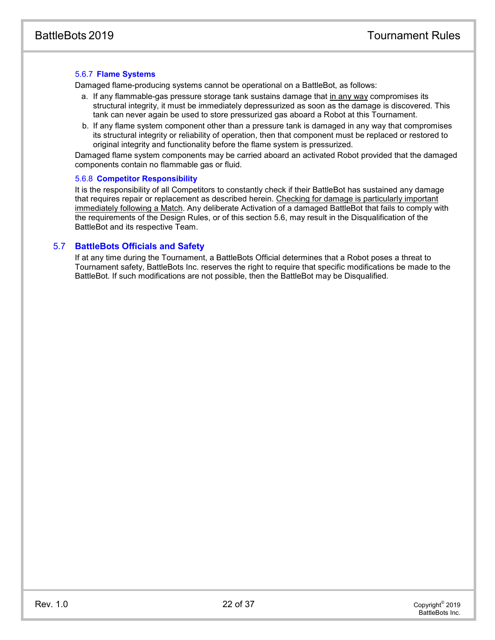#### 5.6.7 **Flame Systems**

Damaged flame-producing systems cannot be operational on a BattleBot, as follows:

- a. If any flammable-gas pressure storage tank sustains damage that in any way compromises its structural integrity, it must be immediately depressurized as soon as the damage is discovered. This tank can never again be used to store pressurized gas aboard a Robot at this Tournament.
- b. If any flame system component other than a pressure tank is damaged in any way that compromises its structural integrity or reliability of operation, then that component must be replaced or restored to original integrity and functionality before the flame system is pressurized.

Damaged flame system components may be carried aboard an activated Robot provided that the damaged components contain no flammable gas or fluid.

#### 5.6.8 **Competitor Responsibility**

It is the responsibility of all Competitors to constantly check if their BattleBot has sustained any damage that requires repair or replacement as described herein. Checking for damage is particularly important immediately following a Match. Any deliberate Activation of a damaged BattleBot that fails to comply with the requirements of the Design Rules, or of this section 5.6, may result in the Disqualification of the BattleBot and its respective Team.

#### 5.7 **BattleBots Officials and Safety**

If at any time during the Tournament, a BattleBots Official determines that a Robot poses a threat to Tournament safety, BattleBots Inc. reserves the right to require that specific modifications be made to the BattleBot. If such modifications are not possible, then the BattleBot may be Disqualified.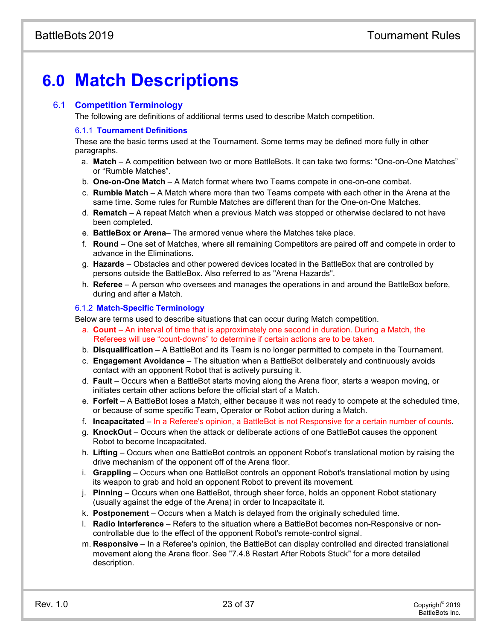# **6.0 Match Descriptions**

## 6.1 **Competition Terminology**

The following are definitions of additional terms used to describe Match competition.

## 6.1.1 **Tournament Definitions**

These are the basic terms used at the Tournament. Some terms may be defined more fully in other paragraphs.

- a. **Match**  A competition between two or more BattleBots. It can take two forms: "One-on-One Matches" or "Rumble Matches".
- b. **One-on-One Match**  A Match format where two Teams compete in one-on-one combat.
- c. **Rumble Match** A Match where more than two Teams compete with each other in the Arena at the same time. Some rules for Rumble Matches are different than for the One-on-One Matches.
- d. **Rematch**  A repeat Match when a previous Match was stopped or otherwise declared to not have been completed.
- e. **BattleBox or Arena** The armored venue where the Matches take place.
- f. **Round** One set of Matches, where all remaining Competitors are paired off and compete in order to advance in the Eliminations.
- g. **Hazards** Obstacles and other powered devices located in the BattleBox that are controlled by persons outside the BattleBox. Also referred to as "Arena Hazards".
- h. **Referee** A person who oversees and manages the operations in and around the BattleBox before, during and after a Match.

## 6.1.2 **Match-Specific Terminology**

Below are terms used to describe situations that can occur during Match competition.

- a. **Count** An interval of time that is approximately one second in duration. During a Match, the Referees will use "count-downs" to determine if certain actions are to be taken.
- b. **Disqualification** A BattleBot and its Team is no longer permitted to compete in the Tournament.
- c. **Engagement Avoidance** The situation when a BattleBot deliberately and continuously avoids contact with an opponent Robot that is actively pursuing it.
- d. **Fault** Occurs when a BattleBot starts moving along the Arena floor, starts a weapon moving, or initiates certain other actions before the official start of a Match.
- e. **Forfeit** A BattleBot loses a Match, either because it was not ready to compete at the scheduled time, or because of some specific Team, Operator or Robot action during a Match.
- f. **Incapacitated** In a Referee's opinion, a BattleBot is not Responsive for a certain number of counts.
- g. **KnockOut** Occurs when the attack or deliberate actions of one BattleBot causes the opponent Robot to become Incapacitated.
- h. **Lifting** Occurs when one BattleBot controls an opponent Robot's translational motion by raising the drive mechanism of the opponent off of the Arena floor.
- i. **Grappling** Occurs when one BattleBot controls an opponent Robot's translational motion by using its weapon to grab and hold an opponent Robot to prevent its movement.
- j. **Pinning** Occurs when one BattleBot, through sheer force, holds an opponent Robot stationary (usually against the edge of the Arena) in order to Incapacitate it.
- k. **Postponement** Occurs when a Match is delayed from the originally scheduled time.
- l. **Radio Interference** Refers to the situation where a BattleBot becomes non-Responsive or noncontrollable due to the effect of the opponent Robot's remote-control signal.
- m. **Responsive** In a Referee's opinion, the BattleBot can display controlled and directed translational movement along the Arena floor. See ["7.4.8](#page-29-0) Restart After Robots Stuck" for a more detailed description.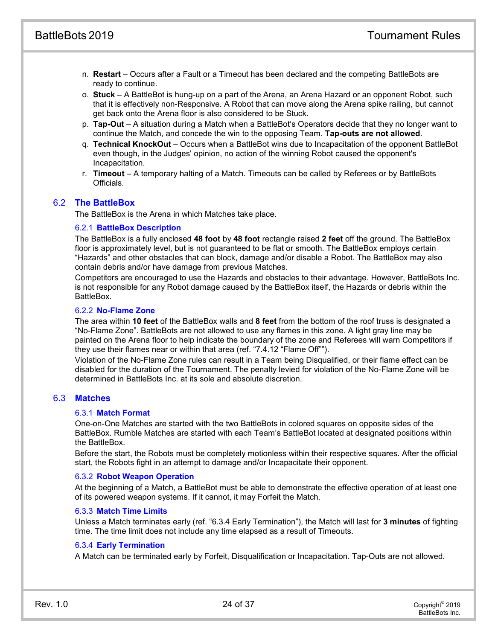- n. **Restart** Occurs after a Fault or a Timeout has been declared and the competing BattleBots are ready to continue.
- o. **Stuck** A BattleBot is hung-up on a part of the Arena, an Arena Hazard or an opponent Robot, such that it is effectively non-Responsive. A Robot that can move along the Arena spike railing, but cannot get back onto the Arena floor is also considered to be Stuck.
- p. **Tap-Out** A situation during a Match when a BattleBot's Operators decide that they no longer want to continue the Match, and concede the win to the opposing Team. **Tap-outs are not allowed**.
- q. **Technical KnockOut** Occurs when a BattleBot wins due to Incapacitation of the opponent BattleBot even though, in the Judges' opinion, no action of the winning Robot caused the opponent's Incapacitation.
- r. **Timeout** A temporary halting of a Match. Timeouts can be called by Referees or by BattleBots Officials.

#### 6.2 **The BattleBox**

The BattleBox is the Arena in which Matches take place.

#### 6.2.1 **BattleBox Description**

The BattleBox is a fully enclosed **48 foot** by **48 foot** rectangle raised **2 feet** off the ground. The BattleBox floor is approximately level, but is not guaranteed to be flat or smooth. The BattleBox employs certain "Hazards" and other obstacles that can block, damage and/or disable a Robot. The BattleBox may also contain debris and/or have damage from previous Matches.

Competitors are encouraged to use the Hazards and obstacles to their advantage. However, BattleBots Inc. is not responsible for any Robot damage caused by the BattleBox itself, the Hazards or debris within the BattleBox.

#### 6.2.2 **No-Flame Zone**

The area within **10 feet** of the BattleBox walls and **8 feet** from the bottom of the roof truss is designated a "No-Flame Zone". BattleBots are not allowed to use any flames in this zone. A light gray line may be painted on the Arena floor to help indicate the boundary of the zone and Referees will warn Competitors if they use their flames near or within that area (ref. ["7.4.12](#page-30-0) ["Flame Off""](#page-30-0)).

Violation of the No-Flame Zone rules can result in a Team being Disqualified, or their flame effect can be disabled for the duration of the Tournament. The penalty levied for violation of the No-Flame Zone will be determined in BattleBots Inc. at its sole and absolute discretion.

#### 6.3 **Matches**

#### 6.3.1 **Match Format**

One-on-One Matches are started with the two BattleBots in colored squares on opposite sides of the BattleBox. Rumble Matches are started with each Team's BattleBot located at designated positions within the BattleBox.

Before the start, the Robots must be completely motionless within their respective squares. After the official start, the Robots fight in an attempt to damage and/or Incapacitate their opponent.

#### 6.3.2 **Robot Weapon Operation**

At the beginning of a Match, a BattleBot must be able to demonstrate the effective operation of at least one of its powered weapon systems. If it cannot, it may Forfeit the Match.

#### 6.3.3 **Match Time Limits**

Unless a Match terminates early (ref. ["6.3.4](#page-24-0) [Early Termination"](#page-24-0)), the Match will last for **3 minutes** of fighting time. The time limit does not include any time elapsed as a result of Timeouts.

#### <span id="page-24-0"></span>6.3.4 **Early Termination**

A Match can be terminated early by Forfeit, Disqualification or Incapacitation. Tap-Outs are not allowed.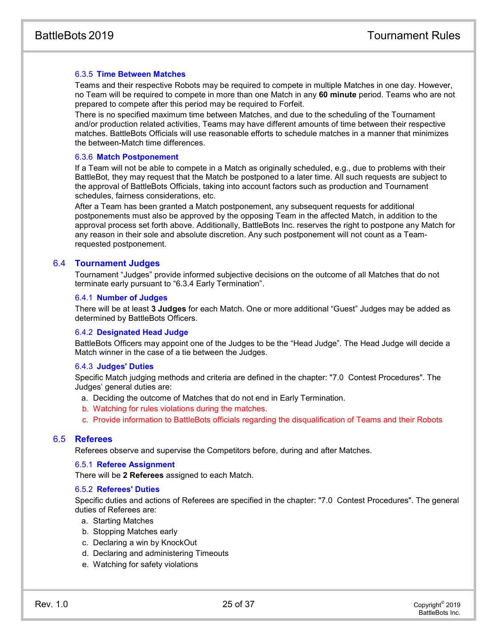#### 6.3.5 **Time Between Matches**

Teams and their respective Robots may be required to compete in multiple Matches in one day. However, no Team will be required to compete in more than one Match in any **60 minute** period. Teams who are not prepared to compete after this period may be required to Forfeit.

There is no specified maximum time between Matches, and due to the scheduling of the Tournament and/or production related activities, Teams may have different amounts of time between their respective matches. BattleBots Officials will use reasonable efforts to schedule matches in a manner that minimizes the between-Match time differences.

#### 6.3.6 **Match Postponement**

If a Team will not be able to compete in a Match as originally scheduled, e.g., due to problems with their BattleBot, they may request that the Match be postponed to a later time. All such requests are subject to the approval of BattleBots Officials, taking into account factors such as production and Tournament schedules, fairness considerations, etc.

After a Team has been granted a Match postponement, any subsequent requests for additional postponements must also be approved by the opposing Team in the affected Match, in addition to the approval process set forth above. Additionally, BattleBots Inc. reserves the right to postpone any Match for any reason in their sole and absolute discretion. Any such postponement will not count as a Teamrequested postponement.

#### 6.4 **Tournament Judges**

Tournament "Judges" provide informed subjective decisions on the outcome of all Matches that do not terminate early pursuant to "6.3.4 Early Termination".

#### 6.4.1 **Number of Judges**

There will be at least **3 Judges** for each Match. One or more additional "Guest" Judges may be added as determined by BattleBots Officers.

#### <span id="page-25-0"></span>6.4.2 **Designated Head Judge**

BattleBots Officers may appoint one of the Judges to be the "Head Judge". The Head Judge will decide a Match winner in the case of a tie between the Judges.

#### 6.4.3 **Judges' Duties**

Specific Match judging methods and criteria are defined in the chapter: "7.0 Contest Procedures". The Judges' general duties are:

- a. Deciding the outcome of Matches that do not end in Early Termination.
- b. Watching for rules violations during the matches.
- c. Provide information to BattleBots officials regarding the disqualification of Teams and their Robots

#### 6.5 **Referees**

Referees observe and supervise the Competitors before, during and after Matches.

#### 6.5.1 **Referee Assignment**

There will be **2 Referees** assigned to each Match.

#### 6.5.2 **Referees' Duties**

Specific duties and actions of Referees are specified in the chapter: "7.0 Contest Procedures". The general duties of Referees are:

- a. Starting Matches
- b. Stopping Matches early
- c. Declaring a win by KnockOut
- d. Declaring and administering Timeouts
- e. Watching for safety violations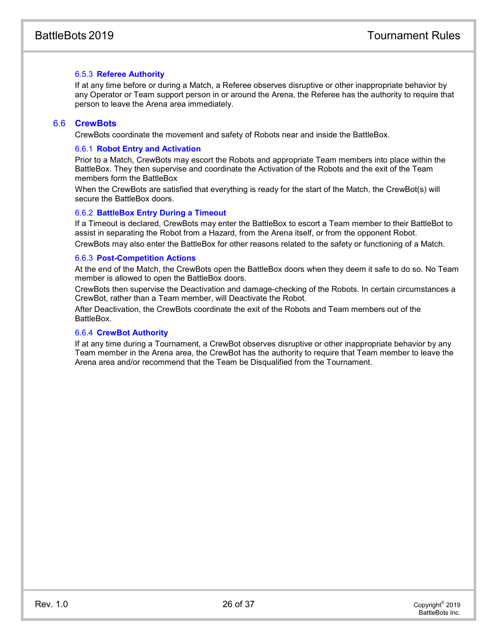#### 6.5.3 **Referee Authority**

If at any time before or during a Match, a Referee observes disruptive or other inappropriate behavior by any Operator or Team support person in or around the Arena, the Referee has the authority to require that person to leave the Arena area immediately.

#### 6.6 **CrewBots**

CrewBots coordinate the movement and safety of Robots near and inside the BattleBox.

#### 6.6.1 **Robot Entry and Activation**

Prior to a Match, CrewBots may escort the Robots and appropriate Team members into place within the BattleBox. They then supervise and coordinate the Activation of the Robots and the exit of the Team members form the BattleBox

When the CrewBots are satisfied that everything is ready for the start of the Match, the CrewBot(s) will secure the BattleBox doors.

#### 6.6.2 **BattleBox Entry During a Timeout**

If a Timeout is declared, CrewBots may enter the BattleBox to escort a Team member to their BattleBot to assist in separating the Robot from a Hazard, from the Arena itself, or from the opponent Robot. CrewBots may also enter the BattleBox for other reasons related to the safety or functioning of a Match.

#### 6.6.3 **Post-Competition Actions**

At the end of the Match, the CrewBots open the BattleBox doors when they deem it safe to do so. No Team member is allowed to open the BattleBox doors.

CrewBots then supervise the Deactivation and damage-checking of the Robots. In certain circumstances a CrewBot, rather than a Team member, will Deactivate the Robot.

After Deactivation, the CrewBots coordinate the exit of the Robots and Team members out of the **BattleBox** 

#### 6.6.4 **CrewBot Authority**

If at any time during a Tournament, a CrewBot observes disruptive or other inappropriate behavior by any Team member in the Arena area, the CrewBot has the authority to require that Team member to leave the Arena area and/or recommend that the Team be Disqualified from the Tournament.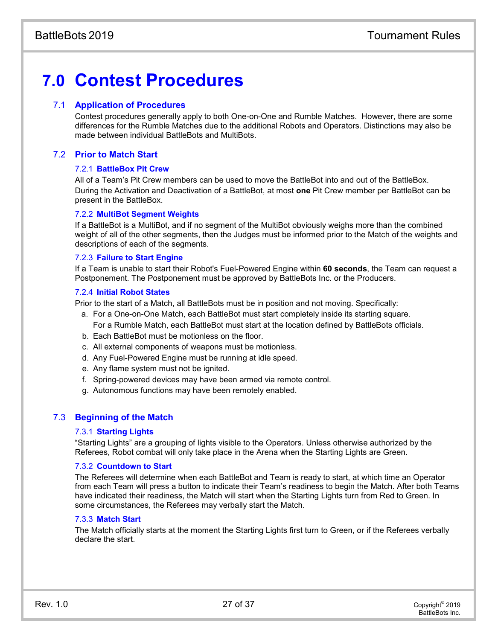# **7.0 Contest Procedures**

#### 7.1 **Application of Procedures**

Contest procedures generally apply to both One-on-One and Rumble Matches. However, there are some differences for the Rumble Matches due to the additional Robots and Operators. Distinctions may also be made between individual BattleBots and MultiBots.

## 7.2 **Prior to Match Start**

#### 7.2.1 **BattleBox Pit Crew**

All of a Team's Pit Crew members can be used to move the BattleBot into and out of the BattleBox. During the Activation and Deactivation of a BattleBot, at most **one** Pit Crew member per BattleBot can be present in the BattleBox.

#### 7.2.2 **MultiBot Segment Weights**

If a BattleBot is a MultiBot, and if no segment of the MultiBot obviously weighs more than the combined weight of all of the other segments, then the Judges must be informed prior to the Match of the weights and descriptions of each of the segments.

#### 7.2.3 **Failure to Start Engine**

If a Team is unable to start their Robot's Fuel-Powered Engine within **60 seconds**, the Team can request a Postponement. The Postponement must be approved by BattleBots Inc. or the Producers.

#### 7.2.4 **Initial Robot States**

Prior to the start of a Match, all BattleBots must be in position and not moving. Specifically:

- a. For a One-on-One Match, each BattleBot must start completely inside its starting square. For a Rumble Match, each BattleBot must start at the location defined by BattleBots officials.
- b. Each BattleBot must be motionless on the floor.
- c. All external components of weapons must be motionless.
- d. Any Fuel-Powered Engine must be running at idle speed.
- e. Any flame system must not be ignited.
- f. Spring-powered devices may have been armed via remote control.
- g. Autonomous functions may have been remotely enabled.

#### 7.3 **Beginning of the Match**

#### 7.3.1 **Starting Lights**

"Starting Lights" are a grouping of lights visible to the Operators. Unless otherwise authorized by the Referees, Robot combat will only take place in the Arena when the Starting Lights are Green.

#### 7.3.2 **Countdown to Start**

The Referees will determine when each BattleBot and Team is ready to start, at which time an Operator from each Team will press a button to indicate their Team's readiness to begin the Match. After both Teams have indicated their readiness, the Match will start when the Starting Lights turn from Red to Green. In some circumstances, the Referees may verbally start the Match.

#### 7.3.3 **Match Start**

The Match officially starts at the moment the Starting Lights first turn to Green, or if the Referees verbally declare the start.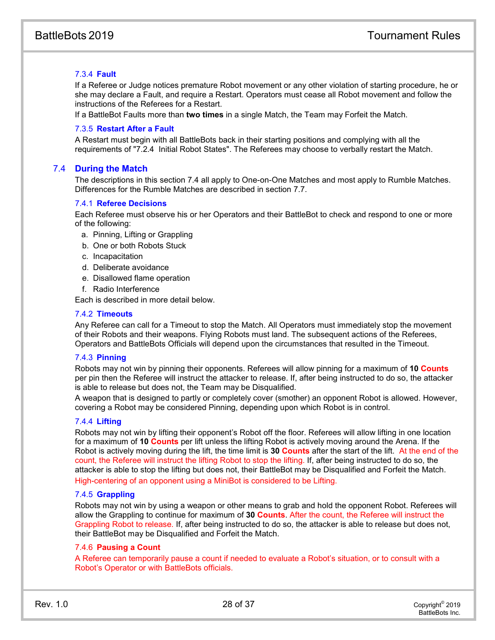#### 7.3.4 **Fault**

If a Referee or Judge notices premature Robot movement or any other violation of starting procedure, he or she may declare a Fault, and require a Restart. Operators must cease all Robot movement and follow the instructions of the Referees for a Restart.

If a BattleBot Faults more than **two times** in a single Match, the Team may Forfeit the Match.

#### 7.3.5 **Restart After a Fault**

A Restart must begin with all BattleBots back in their starting positions and complying with all the requirements of "7.2.4 Initial Robot States". The Referees may choose to verbally restart the Match.

#### 7.4 **During the Match**

The descriptions in this section 7.4 all apply to One-on-One Matches and most apply to Rumble Matches. Differences for the Rumble Matches are described in section 7.7.

#### 7.4.1 **Referee Decisions**

Each Referee must observe his or her Operators and their BattleBot to check and respond to one or more of the following:

- a. Pinning, Lifting or Grappling
- b. One or both Robots Stuck
- c. Incapacitation
- d. Deliberate avoidance
- e. Disallowed flame operation
- f. Radio Interference

Each is described in more detail below.

#### 7.4.2 **Timeouts**

Any Referee can call for a Timeout to stop the Match. All Operators must immediately stop the movement of their Robots and their weapons. Flying Robots must land. The subsequent actions of the Referees, Operators and BattleBots Officials will depend upon the circumstances that resulted in the Timeout.

#### 7.4.3 **Pinning**

Robots may not win by pinning their opponents. Referees will allow pinning for a maximum of **10 Counts** per pin then the Referee will instruct the attacker to release. If, after being instructed to do so, the attacker is able to release but does not, the Team may be Disqualified.

A weapon that is designed to partly or completely cover (smother) an opponent Robot is allowed. However, covering a Robot may be considered Pinning, depending upon which Robot is in control.

#### 7.4.4 **Lifting**

Robots may not win by lifting their opponent's Robot off the floor. Referees will allow lifting in one location for a maximum of **10 Counts** per lift unless the lifting Robot is actively moving around the Arena. If the Robot is actively moving during the lift, the time limit is **30 Counts** after the start of the lift. At the end of the count, the Referee will instruct the lifting Robot to stop the lifting. If, after being instructed to do so, the attacker is able to stop the lifting but does not, their BattleBot may be Disqualified and Forfeit the Match. High-centering of an opponent using a MiniBot is considered to be Lifting.

#### 7.4.5 **Grappling**

Robots may not win by using a weapon or other means to grab and hold the opponent Robot. Referees will allow the Grappling to continue for maximum of **30 Counts**. After the count, the Referee will instruct the Grappling Robot to release. If, after being instructed to do so, the attacker is able to release but does not, their BattleBot may be Disqualified and Forfeit the Match.

#### 7.4.6 **Pausing a Count**

A Referee can temporarily pause a count if needed to evaluate a Robot's situation, or to consult with a Robot's Operator or with BattleBots officials.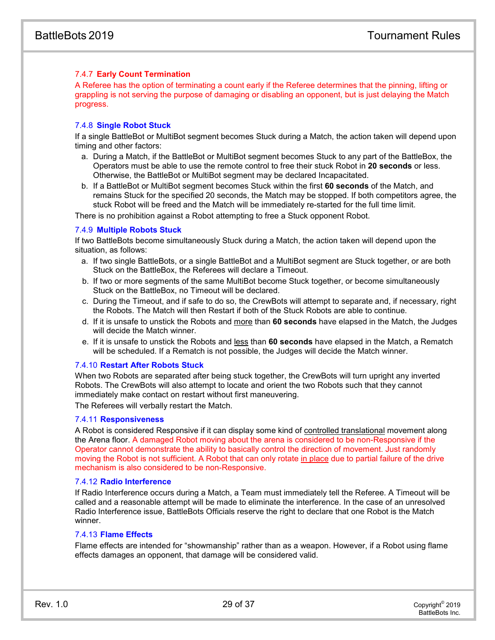#### 7.4.7 **Early Count Termination**

A Referee has the option of terminating a count early if the Referee determines that the pinning, lifting or grappling is not serving the purpose of damaging or disabling an opponent, but is just delaying the Match progress.

#### 7.4.8 **Single Robot Stuck**

If a single BattleBot or MultiBot segment becomes Stuck during a Match, the action taken will depend upon timing and other factors:

- a. During a Match, if the BattleBot or MultiBot segment becomes Stuck to any part of the BattleBox, the Operators must be able to use the remote control to free their stuck Robot in **20 seconds** or less. Otherwise, the BattleBot or MultiBot segment may be declared Incapacitated.
- b. If a BattleBot or MultiBot segment becomes Stuck within the first **60 seconds** of the Match, and remains Stuck for the specified 20 seconds, the Match may be stopped. If both competitors agree, the stuck Robot will be freed and the Match will be immediately re-started for the full time limit.

There is no prohibition against a Robot attempting to free a Stuck opponent Robot.

#### 7.4.9 **Multiple Robots Stuck**

If two BattleBots become simultaneously Stuck during a Match, the action taken will depend upon the situation, as follows:

- a. If two single BattleBots, or a single BattleBot and a MultiBot segment are Stuck together, or are both Stuck on the BattleBox, the Referees will declare a Timeout.
- b. If two or more segments of the same MultiBot become Stuck together, or become simultaneously Stuck on the BattleBox, no Timeout will be declared.
- c. During the Timeout, and if safe to do so, the CrewBots will attempt to separate and, if necessary, right the Robots. The Match will then Restart if both of the Stuck Robots are able to continue.
- d. If it is unsafe to unstick the Robots and more than **60 seconds** have elapsed in the Match, the Judges will decide the Match winner.
- e. If it is unsafe to unstick the Robots and less than **60 seconds** have elapsed in the Match, a Rematch will be scheduled. If a Rematch is not possible, the Judges will decide the Match winner.

#### <span id="page-29-0"></span>7.4.10 **Restart After Robots Stuck**

When two Robots are separated after being stuck together, the CrewBots will turn upright any inverted Robots. The CrewBots will also attempt to locate and orient the two Robots such that they cannot immediately make contact on restart without first maneuvering.

The Referees will verbally restart the Match.

#### 7.4.11 **Responsiveness**

A Robot is considered Responsive if it can display some kind of controlled translational movement along the Arena floor. A damaged Robot moving about the arena is considered to be non-Responsive if the Operator cannot demonstrate the ability to basically control the direction of movement. Just randomly moving the Robot is not sufficient. A Robot that can only rotate in place due to partial failure of the drive mechanism is also considered to be non-Responsive.

#### 7.4.12 **Radio Interference**

If Radio Interference occurs during a Match, a Team must immediately tell the Referee. A Timeout will be called and a reasonable attempt will be made to eliminate the interference. In the case of an unresolved Radio Interference issue, BattleBots Officials reserve the right to declare that one Robot is the Match winner.

#### 7.4.13 **Flame Effects**

Flame effects are intended for "showmanship" rather than as a weapon. However, if a Robot using flame effects damages an opponent, that damage will be considered valid.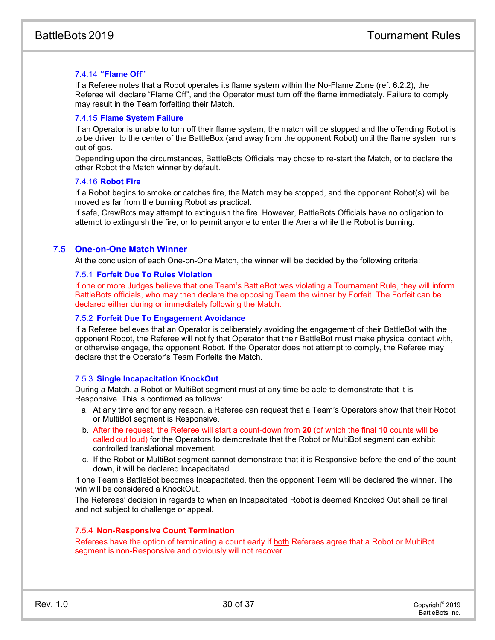#### <span id="page-30-0"></span>7.4.14 **"Flame Off"**

If a Referee notes that a Robot operates its flame system within the No-Flame Zone (ref. 6.2.2), the Referee will declare "Flame Off", and the Operator must turn off the flame immediately. Failure to comply may result in the Team forfeiting their Match.

#### 7.4.15 **Flame System Failure**

If an Operator is unable to turn off their flame system, the match will be stopped and the offending Robot is to be driven to the center of the BattleBox (and away from the opponent Robot) until the flame system runs out of gas.

Depending upon the circumstances, BattleBots Officials may chose to re-start the Match, or to declare the other Robot the Match winner by default.

#### 7.4.16 **Robot Fire**

If a Robot begins to smoke or catches fire, the Match may be stopped, and the opponent Robot(s) will be moved as far from the burning Robot as practical.

If safe, CrewBots may attempt to extinguish the fire. However, BattleBots Officials have no obligation to attempt to extinguish the fire, or to permit anyone to enter the Arena while the Robot is burning.

#### 7.5 **One-on-One Match Winner**

At the conclusion of each One-on-One Match, the winner will be decided by the following criteria:

#### 7.5.1 **Forfeit Due To Rules Violation**

If one or more Judges believe that one Team's BattleBot was violating a Tournament Rule, they will inform BattleBots officials, who may then declare the opposing Team the winner by Forfeit. The Forfeit can be declared either during or immediately following the Match.

#### 7.5.2 **Forfeit Due To Engagement Avoidance**

If a Referee believes that an Operator is deliberately avoiding the engagement of their BattleBot with the opponent Robot, the Referee will notify that Operator that their BattleBot must make physical contact with, or otherwise engage, the opponent Robot. If the Operator does not attempt to comply, the Referee may declare that the Operator's Team Forfeits the Match.

#### 7.5.3 **Single Incapacitation KnockOut**

During a Match, a Robot or MultiBot segment must at any time be able to demonstrate that it is Responsive. This is confirmed as follows:

- a. At any time and for any reason, a Referee can request that a Team's Operators show that their Robot or MultiBot segment is Responsive.
- b. After the request, the Referee will start a count-down from **20** (of which the final **10** counts will be called out loud) for the Operators to demonstrate that the Robot or MultiBot segment can exhibit controlled translational movement.
- c. If the Robot or MultiBot segment cannot demonstrate that it is Responsive before the end of the countdown, it will be declared Incapacitated.

If one Team's BattleBot becomes Incapacitated, then the opponent Team will be declared the winner. The win will be considered a KnockOut.

The Referees' decision in regards to when an Incapacitated Robot is deemed Knocked Out shall be final and not subject to challenge or appeal.

#### 7.5.4 **Non-Responsive Count Termination**

Referees have the option of terminating a count early if both Referees agree that a Robot or MultiBot segment is non-Responsive and obviously will not recover.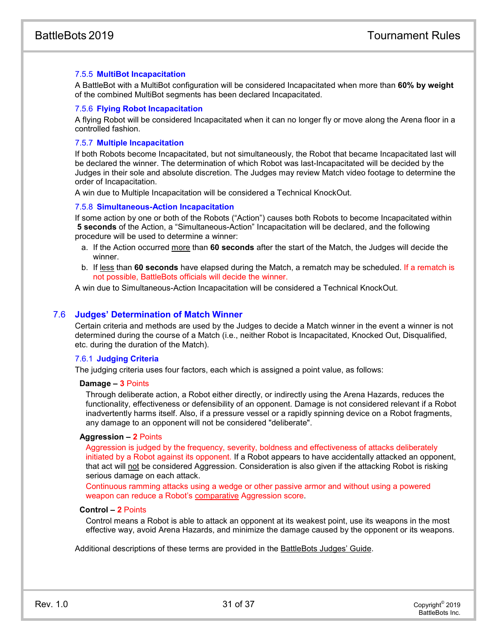#### 7.5.5 **MultiBot Incapacitation**

A BattleBot with a MultiBot configuration will be considered Incapacitated when more than **60% by weight** of the combined MultiBot segments has been declared Incapacitated.

#### 7.5.6 **Flying Robot Incapacitation**

A flying Robot will be considered Incapacitated when it can no longer fly or move along the Arena floor in a controlled fashion.

#### 7.5.7 **Multiple Incapacitation**

If both Robots become Incapacitated, but not simultaneously, the Robot that became Incapacitated last will be declared the winner. The determination of which Robot was last-Incapacitated will be decided by the Judges in their sole and absolute discretion. The Judges may review Match video footage to determine the order of Incapacitation.

A win due to Multiple Incapacitation will be considered a Technical KnockOut.

#### 7.5.8 **Simultaneous-Action Incapacitation**

If some action by one or both of the Robots ("Action") causes both Robots to become Incapacitated within **5 seconds** of the Action, a "Simultaneous-Action" Incapacitation will be declared, and the following procedure will be used to determine a winner:

- a. If the Action occurred more than **60 seconds** after the start of the Match, the Judges will decide the winner.
- b. If less than **60 seconds** have elapsed during the Match, a rematch may be scheduled. If a rematch is not possible, BattleBots officials will decide the winner.

A win due to Simultaneous-Action Incapacitation will be considered a Technical KnockOut.

#### 7.6 **Judges' Determination of Match Winner**

Certain criteria and methods are used by the Judges to decide a Match winner in the event a winner is not determined during the course of a Match (i.e., neither Robot is Incapacitated, Knocked Out, Disqualified, etc. during the duration of the Match).

#### 7.6.1 **Judging Criteria**

The judging criteria uses four factors, each which is assigned a point value, as follows:

#### **Damage – 3** Points

Through deliberate action, a Robot either directly, or indirectly using the Arena Hazards, reduces the functionality, effectiveness or defensibility of an opponent. Damage is not considered relevant if a Robot inadvertently harms itself. Also, if a pressure vessel or a rapidly spinning device on a Robot fragments, any damage to an opponent will not be considered "deliberate".

#### **Aggression – 2** Points

Aggression is judged by the frequency, severity, boldness and effectiveness of attacks deliberately initiated by a Robot against its opponent. If a Robot appears to have accidentally attacked an opponent, that act will not be considered Aggression. Consideration is also given if the attacking Robot is risking serious damage on each attack.

Continuous ramming attacks using a wedge or other passive armor and without using a powered weapon can reduce a Robot's comparative Aggression score.

#### **Control – 2** Points

Control means a Robot is able to attack an opponent at its weakest point, use its weapons in the most effective way, avoid Arena Hazards, and minimize the damage caused by the opponent or its weapons.

Additional descriptions of these terms are provided in the BattleBots Judges' Guide.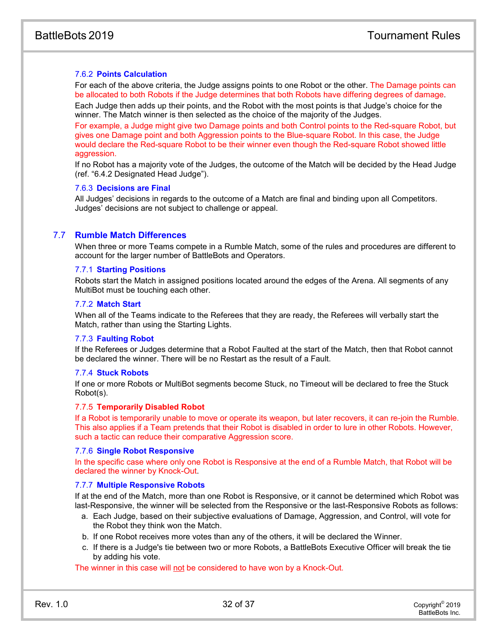#### 7.6.2 **Points Calculation**

For each of the above criteria, the Judge assigns points to one Robot or the other. The Damage points can be allocated to both Robots if the Judge determines that both Robots have differing degrees of damage. Each Judge then adds up their points, and the Robot with the most points is that Judge's choice for the winner. The Match winner is then selected as the choice of the majority of the Judges.

For example, a Judge might give two Damage points and both Control points to the Red-square Robot, but gives one Damage point and both Aggression points to the Blue-square Robot. In this case, the Judge would declare the Red-square Robot to be their winner even though the Red-square Robot showed little aggression.

If no Robot has a majority vote of the Judges, the outcome of the Match will be decided by the Head Judge (ref. ["6.4.2](#page-25-0) [Designated Head Judge"](#page-25-0)).

#### 7.6.3 **Decisions are Final**

All Judges' decisions in regards to the outcome of a Match are final and binding upon all Competitors. Judges' decisions are not subject to challenge or appeal.

#### 7.7 **Rumble Match Differences**

When three or more Teams compete in a Rumble Match, some of the rules and procedures are different to account for the larger number of BattleBots and Operators.

#### 7.7.1 **Starting Positions**

Robots start the Match in assigned positions located around the edges of the Arena. All segments of any MultiBot must be touching each other.

#### 7.7.2 **Match Start**

When all of the Teams indicate to the Referees that they are ready, the Referees will verbally start the Match, rather than using the Starting Lights.

#### 7.7.3 **Faulting Robot**

If the Referees or Judges determine that a Robot Faulted at the start of the Match, then that Robot cannot be declared the winner. There will be no Restart as the result of a Fault.

#### 7.7.4 **Stuck Robots**

If one or more Robots or MultiBot segments become Stuck, no Timeout will be declared to free the Stuck Robot(s).

#### 7.7.5 **Temporarily Disabled Robot**

If a Robot is temporarily unable to move or operate its weapon, but later recovers, it can re-join the Rumble. This also applies if a Team pretends that their Robot is disabled in order to lure in other Robots. However, such a tactic can reduce their comparative Aggression score.

#### 7.7.6 **Single Robot Responsive**

In the specific case where only one Robot is Responsive at the end of a Rumble Match, that Robot will be declared the winner by Knock-Out.

#### 7.7.7 **Multiple Responsive Robots**

If at the end of the Match, more than one Robot is Responsive, or it cannot be determined which Robot was last-Responsive, the winner will be selected from the Responsive or the last-Responsive Robots as follows:

- a. Each Judge, based on their subjective evaluations of Damage, Aggression, and Control, will vote for the Robot they think won the Match.
- b. If one Robot receives more votes than any of the others, it will be declared the Winner.
- c. If there is a Judge's tie between two or more Robots, a BattleBots Executive Officer will break the tie by adding his vote.

The winner in this case will not be considered to have won by a Knock-Out.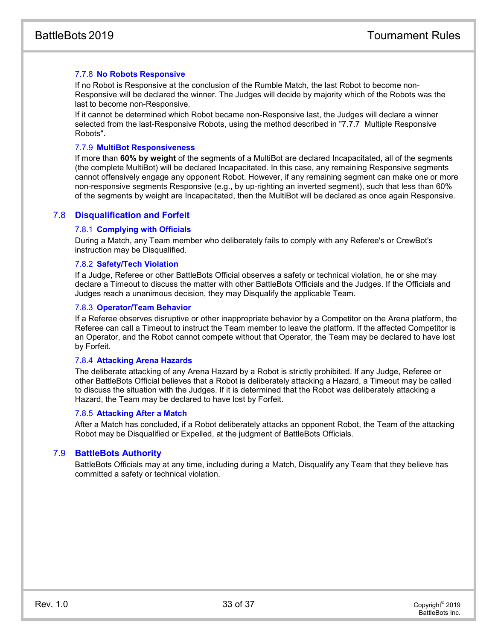#### 7.7.8 **No Robots Responsive**

If no Robot is Responsive at the conclusion of the Rumble Match, the last Robot to become non-Responsive will be declared the winner. The Judges will decide by majority which of the Robots was the last to become non-Responsive.

If it cannot be determined which Robot became non-Responsive last, the Judges will declare a winner selected from the last-Responsive Robots, using the method described in "7.7.7 Multiple Responsive Robots".

#### 7.7.9 **MultiBot Responsiveness**

If more than **60% by weight** of the segments of a MultiBot are declared Incapacitated, all of the segments (the complete MultiBot) will be declared Incapacitated. In this case, any remaining Responsive segments cannot offensively engage any opponent Robot. However, if any remaining segment can make one or more non-responsive segments Responsive (e.g., by up-righting an inverted segment), such that less than 60% of the segments by weight are Incapacitated, then the MultiBot will be declared as once again Responsive.

#### 7.8 **Disqualification and Forfeit**

#### 7.8.1 **Complying with Officials**

During a Match, any Team member who deliberately fails to comply with any Referee's or CrewBot's instruction may be Disqualified.

#### 7.8.2 **Safety/Tech Violation**

If a Judge, Referee or other BattleBots Official observes a safety or technical violation, he or she may declare a Timeout to discuss the matter with other BattleBots Officials and the Judges. If the Officials and Judges reach a unanimous decision, they may Disqualify the applicable Team.

#### 7.8.3 **Operator/Team Behavior**

If a Referee observes disruptive or other inappropriate behavior by a Competitor on the Arena platform, the Referee can call a Timeout to instruct the Team member to leave the platform. If the affected Competitor is an Operator, and the Robot cannot compete without that Operator, the Team may be declared to have lost by Forfeit.

#### 7.8.4 **Attacking Arena Hazards**

The deliberate attacking of any Arena Hazard by a Robot is strictly prohibited. If any Judge, Referee or other BattleBots Official believes that a Robot is deliberately attacking a Hazard, a Timeout may be called to discuss the situation with the Judges. If it is determined that the Robot was deliberately attacking a Hazard, the Team may be declared to have lost by Forfeit.

#### 7.8.5 **Attacking After a Match**

After a Match has concluded, if a Robot deliberately attacks an opponent Robot, the Team of the attacking Robot may be Disqualified or Expelled, at the judgment of BattleBots Officials.

#### 7.9 **BattleBots Authority**

BattleBots Officials may at any time, including during a Match, Disqualify any Team that they believe has committed a safety or technical violation.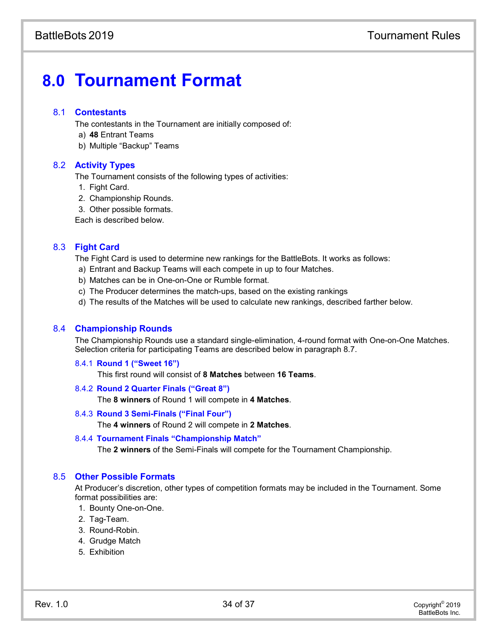# **8.0 Tournament Format**

#### 8.1 **Contestants**

The contestants in the Tournament are initially composed of:

- a) **48** Entrant Teams
- b) Multiple "Backup" Teams

#### 8.2 **Activity Types**

The Tournament consists of the following types of activities:

- 1. Fight Card.
- 2. Championship Rounds.
- 3. Other possible formats.

Each is described below.

#### 8.3 **Fight Card**

The Fight Card is used to determine new rankings for the BattleBots. It works as follows:

- a) Entrant and Backup Teams will each compete in up to four Matches.
- b) Matches can be in One-on-One or Rumble format.
- c) The Producer determines the match-ups, based on the existing rankings
- d) The results of the Matches will be used to calculate new rankings, described farther below.

#### 8.4 **Championship Rounds**

The Championship Rounds use a standard single-elimination, 4-round format with One-on-One Matches. Selection criteria for participating Teams are described below in paragraph 8.7.

#### 8.4.1 **Round 1 ("Sweet 16")**

This first round will consist of **8 Matches** between **16 Teams**.

#### 8.4.2 **Round 2 Quarter Finals ("Great 8")**

The **8 winners** of Round 1 will compete in **4 Matches**.

#### 8.4.3 **Round 3 Semi-Finals ("Final Four")**

The **4 winners** of Round 2 will compete in **2 Matches**.

#### 8.4.4 **Tournament Finals "Championship Match"**

The **2 winners** of the Semi-Finals will compete for the Tournament Championship.

#### 8.5 **Other Possible Formats**

At Producer's discretion, other types of competition formats may be included in the Tournament. Some format possibilities are:

- 1. Bounty One-on-One.
- 2. Tag-Team.
- 3. Round-Robin.
- 4. Grudge Match
- 5. Exhibition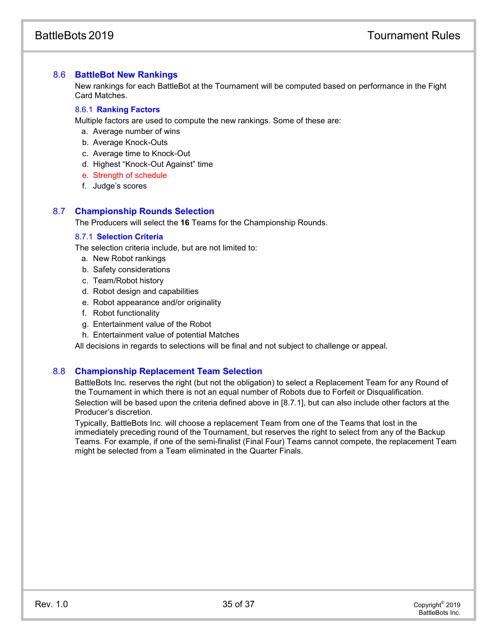## 8.6 **BattleBot New Rankings**

New rankings for each BattleBot at the Tournament will be computed based on performance in the Fight Card Matches.

## 8.6.1 **Ranking Factors**

Multiple factors are used to compute the new rankings. Some of these are:

- a. Average number of wins
- b. Average Knock-Outs
- c. Average time to Knock-Out
- d. Highest "Knock-Out Against" time
- e. Strength of schedule
- f. Judge's scores

## 8.7 **Championship Rounds Selection**

The Producers will select the **16** Teams for the Championship Rounds.

## 8.7.1 **Selection Criteria**

The selection criteria include, but are not limited to:

- a. New Robot rankings
- b. Safety considerations
- c. Team/Robot history
- d. Robot design and capabilities
- e. Robot appearance and/or originality
- f. Robot functionality
- g. Entertainment value of the Robot
- h. Entertainment value of potential Matches

All decisions in regards to selections will be final and not subject to challenge or appeal.

## 8.8 **Championship Replacement Team Selection**

BattleBots Inc. reserves the right (but not the obligation) to select a Replacement Team for any Round of the Tournament in which there is not an equal number of Robots due to Forfeit or Disqualification. Selection will be based upon the criteria defined above in [8.7.1], but can also include other factors at the Producer's discretion.

Typically, BattleBots Inc. will choose a replacement Team from one of the Teams that lost in the immediately preceding round of the Tournament, but reserves the right to select from any of the Backup Teams. For example, if one of the semi-finalist (Final Four) Teams cannot compete, the replacement Team might be selected from a Team eliminated in the Quarter Finals.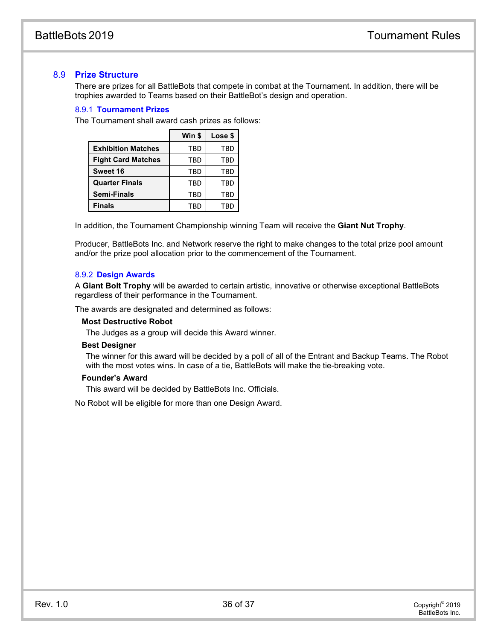#### 8.9 **Prize Structure**

There are prizes for all BattleBots that compete in combat at the Tournament. In addition, there will be trophies awarded to Teams based on their BattleBot's design and operation.

#### 8.9.1 **Tournament Prizes**

The Tournament shall award cash prizes as follows:

|                           | Win \$ | Lose \$ |
|---------------------------|--------|---------|
| <b>Exhibition Matches</b> | TBD    | TBD     |
| <b>Fight Card Matches</b> | TBD    | TBD     |
| Sweet 16                  | TBD    | TBD     |
| <b>Quarter Finals</b>     | TBD    | TBD     |
| <b>Semi-Finals</b>        | TBD    | TBD     |
| <b>Finals</b>             | TBD    | TBD     |

In addition, the Tournament Championship winning Team will receive the **Giant Nut Trophy**.

Producer, BattleBots Inc. and Network reserve the right to make changes to the total prize pool amount and/or the prize pool allocation prior to the commencement of the Tournament.

#### 8.9.2 **Design Awards**

A **Giant Bolt Trophy** will be awarded to certain artistic, innovative or otherwise exceptional BattleBots regardless of their performance in the Tournament.

The awards are designated and determined as follows:

#### **Most Destructive Robot**

The Judges as a group will decide this Award winner.

#### **Best Designer**

The winner for this award will be decided by a poll of all of the Entrant and Backup Teams. The Robot with the most votes wins. In case of a tie, BattleBots will make the tie-breaking vote.

#### **Founder's Award**

This award will be decided by BattleBots Inc. Officials.

No Robot will be eligible for more than one Design Award.